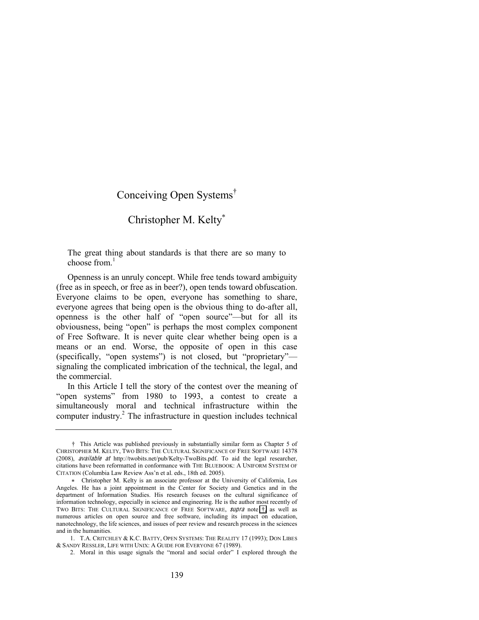<span id="page-0-0"></span>Christopher M. Kelty

<span id="page-0-1"></span>The great thing about standards is that there are so many to choose from.<sup>1</sup>

Openness is an unruly concept. While free tends toward ambiguity (free as in speech, or free as in beer?), open tends toward obfuscation. Everyone claims to be open, everyone has something to share, everyone agrees that being open is the obvious thing to do-after all, openness is the other half of "open source"—but for all its obviousness, being "open" is perhaps the most complex component of Free Software. It is never quite clear whether being open is a means or an end. Worse, the opposite of open in this case (specifically, "open systems") is not closed, but "proprietary" signaling the complicated imbrication of the technical, the legal, and the commercial.

In this Article I tell the story of the contest over the meaning of "open systems" from  $1980$  to  $1993$ , a contest to create a simultaneously moral and technical infrastructure within the computer industry. $^2$  The infrastructure in question includes technical

This Article was published previously in substantially similar form as Chapter 5 of CHRISTOPHER M. KELTY, TWO BITS: THE CULTURAL SIGNIFICANCE OF FREE SOFTWARE 14378 (2008), availabl<sup>e</sup> <sup>a</sup><sup>t</sup> http://twobits.net/pub/Kelty-TwoBits.pdf. To aid the legal researcher, citations have been reformatted in conformance with THE BLUEBOOK: A UNIFORM SYSTEM OF CITATION (Columbia Law Review Ass'n et al. eds., 18th ed. 2005).

Christopher M. Kelty is an associate professor at the University of California, Los Angeles. He has a joint appointment in the Center for Society and Genetics and in the department of Information Studies. His research focuses on the cultural significance of information technology, especially in science and engineering. He is the author most recently of TWO BITS: THE CULTURAL SIGNIFICANCE OF FREE SOFTWARE, *supra* note  $\dagger$ , as well as numerous articles on open source and free software, including its impact on education, nanotechnology, the life sciences, and issues of peer review and research process in the sciences and in the humanities.

<sup>1.</sup> T.A. CRITCHLEY & K.C. BATTY, OPEN SYSTEMS: THE REALITY 17 (1993); DON LIBES & SANDY RESSLER, LIFE WITH UNIX: A GUIDE FOR EVERYONE 67 (1989).

<sup>2.</sup> Moral in this usage signals the "moral and social order" I explored through the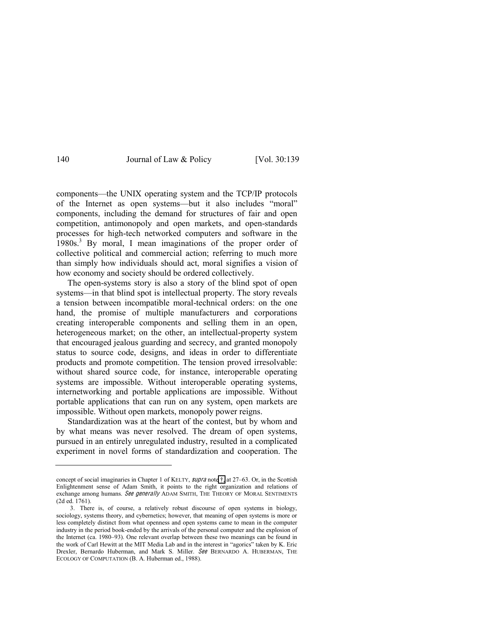components—the UNIX operating system and the TCP/IP protocols of the Internet as open systems—but it also includes "moral" components, including the demand for structures of fair and open competition, antimonopoly and open markets, and open-standards processes for high-tech networked computers and software in the 1980s.<sup>3</sup> By moral, I mean imaginations of the proper order of collective political and commercial action; referring to much more than simply how individuals should act, moral signifies a vision of how economy and society should be ordered collectively.

The open-systems story is also a story of the blind spot of open systems—in that blind spot is intellectual property. The story reveals a tension between incompatible moral-technical orders: on the one hand, the promise of multiple manufacturers and corporations creating interoperable components and selling them in an open, heterogeneous market; on the other, an intellectual-property system that encouraged jealous guarding and secrecy, and granted monopoly status to source code, designs, and ideas in order to differentiate products and promote competition. The tension proved irresolvable: without shared source code, for instance, interoperable operating systems are impossible. Without interoperable operating systems, internetworking and portable applications are impossible. Without portable applications that can run on any system, open markets are impossible. Without open markets, monopoly power reigns.

Standardization was at the heart of the contest, but by whom and by what means was never resolved. The dream of open systems, pursued in an entirely unregulated industry, resulted in a complicated experiment in novel forms of standardization and cooperation. The

concept of social imaginaries in Chapter 1 of KELTY, *supra* note  $\dagger$ , at 27–63. Or, in the Scottish Enlightenment sense of Adam Smith, it points to the right organization and relations of exchange among humans. See generally ADAM SMITH, THE THEORY OF MORAL SENTIMENTS (2d ed. 1761).

<sup>3.</sup> There is, of course, a relatively robust discourse of open systems in biology, sociology, systems theory, and cybernetics; however, that meaning of open systems is more or less completely distinct from what openness and open systems came to mean in the computer industry in the period book-ended by the arrivals of the personal computer and the explosion of the Internet (ca. 1980-93). One relevant overlap between these two meanings can be found in the work of Carl Hewitt at the MIT Media Lab and in the interest in "agorics" taken by K. Eric Drexler, Bernardo Huberman, and Mark S. Miller. See BERNARDO A. HUBERMAN, THE ECOLOGY OF COMPUTATION (B. A. Huberman ed., 1988).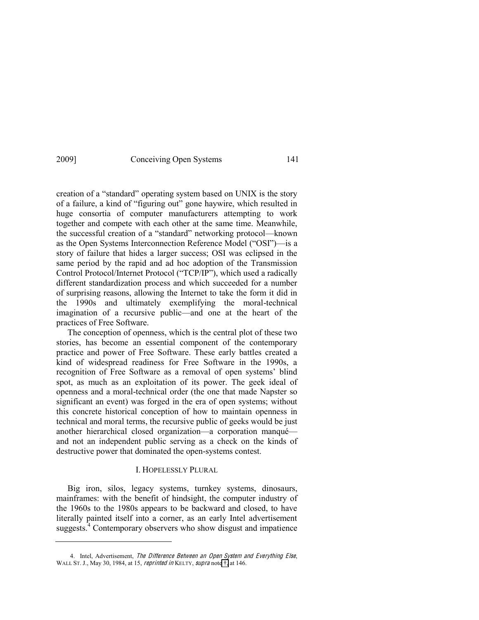creation of a "standard" operating system based on UNIX is the story of a failure, a kind of "figuring out" gone haywire, which resulted in huge consortia of computer manufacturers attempting to work together and compete with each other at the same time. Meanwhile, the successful creation of a "standard" networking protocol—known as the Open Systems Interconnection Reference Model ("OSI")—is a story of failure that hides a larger success; OSI was eclipsed in the same period by the rapid and ad hoc adoption of the Transmission Control Protocol/Internet Protocol ("TCP/IP"), which used a radically different standardization process and which succeeded for a number of surprising reasons, allowing the Internet to take the form it did in the 1990s and ultimately exemplifying the moral-technical imagination of a recursive public—and one at the heart of the practices of Free Software.

The conception of openness, which is the central plot of these two stories, has become an essential component of the contemporary practice and power of Free Software. These early battles created a kind of widespread readiness for Free Software in the 1990s, a recognition of Free Software as a removal of open systems' blind spot, as much as an exploitation of its power. The geek ideal of openness and a moral-technical order (the one that made Napster so significant an event) was forged in the era of open systems; without this concrete historical conception of how to maintain openness in technical and moral terms, the recursive public of geeks would be just another hierarchical closed organization—a corporation manqué and not an independent public serving as a check on the kinds of destructive power that dominated the open-systems contest.

## I. HOPELESSLY PLURAL

Big iron, silos, legacy systems, turnkey systems, dinosaurs, mainframes: with the benefit of hindsight, the computer industry of the 1960s to the 1980s appears to be backward and closed, to have literally painted itself into a corner, as an early Intel advertisement suggests.<sup>4</sup> Contemporary observers who show disgust and impatience

<sup>4.</sup> Intel, Advertisement, The Difference Between an Open System and Everything Else, WALL ST. J., May 30, 1984, at 15, *reprinted in* KELTY, *supra* note  $\dagger$ , at 146.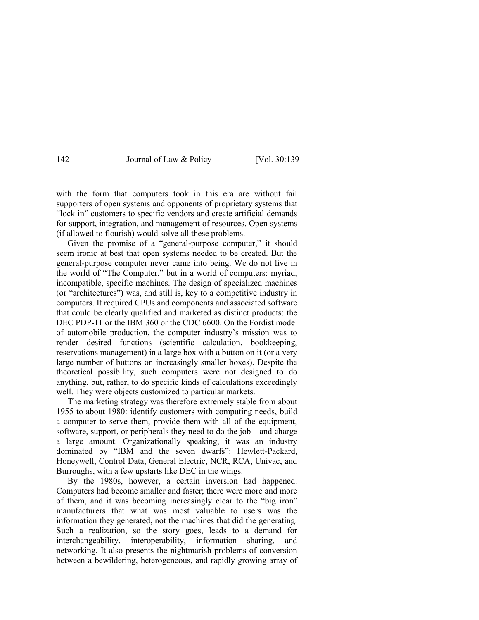with the form that computers took in this era are without fail supporters of open systems and opponents of proprietary systems that "lock in" customers to specific vendors and create artificial demands for support, integration, and management of resources. Open systems (if allowed to flourish) would solve all these problems.

Given the promise of a "general-purpose computer," it should seem ironic at best that open systems needed to be created. But the general-purpose computer never came into being. We do not live in the world of "The Computer," but in a world of computers: myriad, incompatible, specific machines. The design of specialized machines (or "architectures") was, and still is, key to a competitive industry in computers. It required CPUs and components and associated software that could be clearly qualified and marketed as distinct products: the DEC PDP-11 or the IBM 360 or the CDC 6600. On the Fordist model of automobile production, the computer industry's mission was to render desired functions (scientific calculation, bookkeeping, reservations management) in a large box with a button on it (or a very large number of buttons on increasingly smaller boxes). Despite the theoretical possibility, such computers were not designed to do anything, but, rather, to do specific kinds of calculations exceedingly well. They were objects customized to particular markets.

The marketing strategy was therefore extremely stable from about 1955 to about 1980: identify customers with computing needs, build a computer to serve them, provide them with all of the equipment, software, support, or peripherals they need to do the job—and charge a large amount. Organizationally speaking, it was an industry dominated by "IBM and the seven dwarfs": Hewlett-Packard, Honeywell, Control Data, General Electric, NCR, RCA, Univac, and Burroughs, with a few upstarts like DEC in the wings.

By the 1980s, however, a certain inversion had happened. Computers had become smaller and faster; there were more and more of them, and it was becoming increasingly clear to the "big iron" manufacturers that what was most valuable to users was the information they generated, not the machines that did the generating. Such a realization, so the story goes, leads to a demand for interchangeability, interoperability, information sharing, and networking. It also presents the nightmarish problems of conversion between a bewildering, heterogeneous, and rapidly growing array of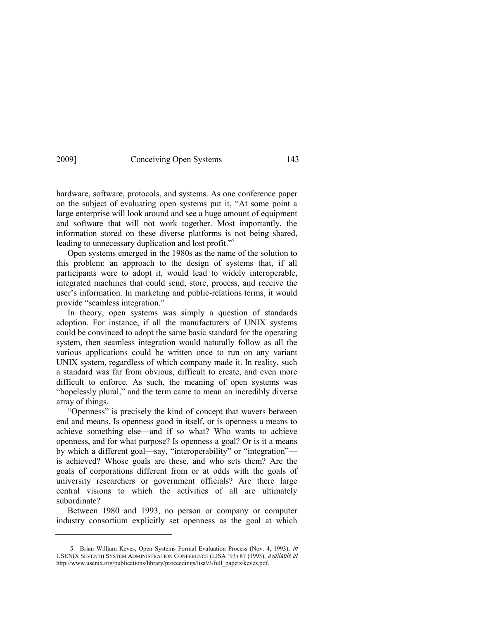hardware, software, protocols, and systems. As one conference paper on the subject of evaluating open systems put it, "At some point a large enterprise will look around and see a huge amount of equipment and software that will not work together. Most importantly, the information stored on these diverse platforms is not being shared, leading to unnecessary duplication and lost profit."<sup>5</sup>

Open systems emerged in the 1980s as the name of the solution to this problem: an approach to the design of systems that, if all participants were to adopt it, would lead to widely interoperable, integrated machines that could send, store, process, and receive the user's information. In marketing and public-relations terms, it would provide "seamless integration."

In theory, open systems was simply a question of standards adoption. For instance, if all the manufacturers of UNIX systems could be convinced to adopt the same basic standard for the operating system, then seamless integration would naturally follow as all the various applications could be written once to run on any variant UNIX system, regardless of which company made it. In reality, such a standard was far from obvious, difficult to create, and even more difficult to enforce. As such, the meaning of open systems was "hopelessly plural," and the term came to mean an incredibly diverse array of things.

"Openness" is precisely the kind of concept that wavers between end and means. Is openness good in itself, or is openness a means to achieve something else—and if so what? Who wants to achieve openness, and for what purpose? Is openness a goal? Or is it a means by which a different goal—say, "interoperability" or "integration" is achieved? Whose goals are these, and who sets them? Are the goals of corporations different from or at odds with the goals of university researchers or government officials? Are there large central visions to which the activities of all are ultimately subordinate?

Between 1980 and 1993, no person or company or computer industry consortium explicitly set openness as the goal at which

<sup>5.</sup> Brian William Keves, Open Systems Formal Evaluation Process (Nov. 4, 1993), in USENIX SEVENTH SYSTEM ADMINISTRATION CONFERENCE (LISA '93) 87 (1993), available at http://www.usenix.org/publications/library/proceedings/lisa93/full\_papers/keves.pdf.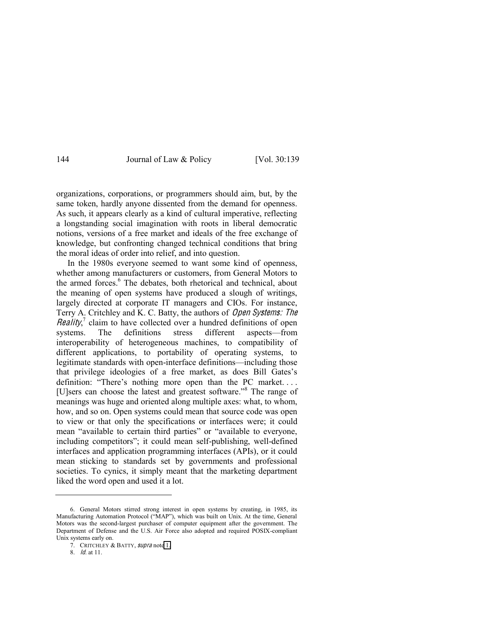organizations, corporations, or programmers should aim, but, by the same token, hardly anyone dissented from the demand for openness. As such, it appears clearly as a kind of cultural imperative, reflecting a longstanding social imagination with roots in liberal democratic notions, versions of a free market and ideals of the free exchange of knowledge, but confronting changed technical conditions that bring the moral ideas of order into relief, and into question.

In the 1980s everyone seemed to want some kind of openness, whether among manufacturers or customers, from General Motors to the armed forces.<sup>6</sup> The debates, both rhetorical and technical, about the meaning of open systems have produced a slough of writings, largely directed at corporate IT managers and CIOs. For instance, Terry A. Critchley and K. C. Batty, the authors of Op<sup>e</sup><sup>n</sup> Systems: Th<sup>e</sup> Reality, $\int$  claim to have collected over a hundred definitions of open systems. The definitions stress different aspects—from interoperability of heterogeneous machines, to compatibility of different applications, to portability of operating systems, to legitimate standards with open-interface definitions—including those that privilege ideologies of a free market, as does Bill Gates's definition: "There's nothing more open than the PC market.... [U]sers can choose the latest and greatest software."<sup>8</sup> The range of meanings was huge and oriented along multiple axes: what, to whom, how, and so on. Open systems could mean that source code was open to view or that only the specifications or interfaces were; it could mean "available to certain third parties" or "available to everyone. including competitors"; it could mean self-publishing, well-defined interfaces and application programming interfaces (APIs), or it could mean sticking to standards set by governments and professional societies. To cynics, it simply meant that the marketing department liked the word open and used it a lot.

<sup>6.</sup> General Motors stirred strong interest in open systems by creating, in 1985, its Manufacturing Automation Protocol ("MAP"), which was built on Unix. At the time, General Motors was the second-largest purchaser of computer equipment after the government. The Department of Defense and the U.S. Air Force also adopted and required POSIX-compliant Unix systems early on.

<sup>7.</sup> CRITCHLEY & BATTY, *supra* note [1.](#page-0-1)

<sup>8.</sup> Id. at 11.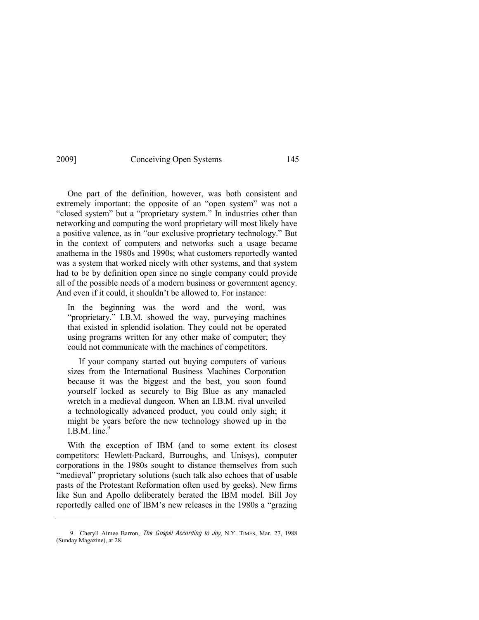One part of the definition, however, was both consistent and extremely important: the opposite of an "open system" was not a "closed system" but a "proprietary system." In industries other than networking and computing the word proprietary will most likely have a positive valence, as in "our exclusive proprietary technology." But in the context of computers and networks such a usage became anathema in the 1980s and 1990s; what customers reportedly wanted was a system that worked nicely with other systems, and that system had to be by definition open since no single company could provide all of the possible needs of a modern business or government agency. And even if it could, it shouldn't be allowed to. For instance:

In the beginning was the word and the word, was "proprietary." I.B.M. showed the way, purveying machines that existed in splendid isolation. They could not be operated using programs written for any other make of computer; they could not communicate with the machines of competitors.

If your company started out buying computers of various sizes from the International Business Machines Corporation because it was the biggest and the best, you soon found yourself locked as securely to Big Blue as any manacled wretch in a medieval dungeon. When an I.B.M. rival unveiled a technologically advanced product, you could only sigh; it might be years before the new technology showed up in the  $I.B.M.$  line. $9$ 

With the exception of IBM (and to some extent its closest competitors: Hewlett-Packard, Burroughs, and Unisys), computer corporations in the 1980s sought to distance themselves from such "medieval" proprietary solutions (such talk also echoes that of usable pasts of the Protestant Reformation often used by geeks). New firms like Sun and Apollo deliberately berated the IBM model. Bill Joy reportedly called one of IBM's new releases in the 1980s a "grazing"

<sup>9.</sup> Cheryll Aimee Barron, The Gospel According to Joy, N.Y. TIMES, Mar. 27, 1988 (Sunday Magazine), at 28.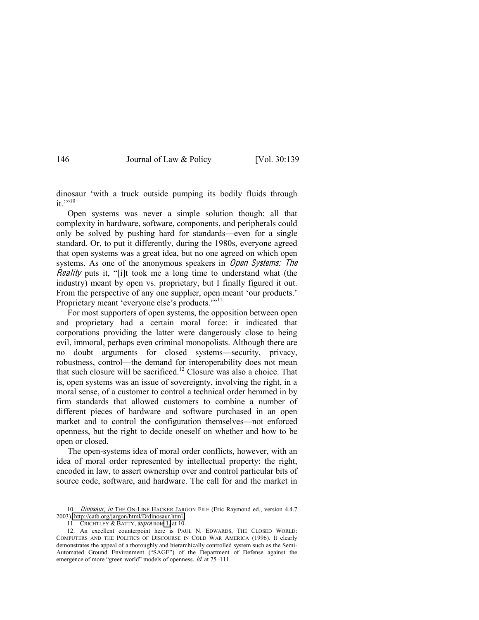dinosaur 'with a truck outside pumping its bodily fluids through  $it \rightarrow 10$ 

Open systems was never a simple solution though: all that complexity in hardware, software, components, and peripherals could only be solved by pushing hard for standards—even for a single standard. Or, to put it differently, during the 1980s, everyone agreed that open systems was a great idea, but no one agreed on which open systems. As one of the anonymous speakers in *Open Systems: The Reality* puts it, "[i]t took me a long time to understand what (the industry) meant by open vs. proprietary, but I finally figured it out. From the perspective of any one supplier, open meant 'our products.' Proprietary meant 'everyone else's products."<sup>11</sup>

For most supporters of open systems, the opposition between open and proprietary had a certain moral force: it indicated that corporations providing the latter were dangerously close to being evil, immoral, perhaps even criminal monopolists. Although there are no doubt arguments for closed systems—security, privacy, robustness, control—the demand for interoperability does not mean that such closure will be sacrificed.<sup>12</sup> Closure was also a choice. That is, open systems was an issue of sovereignty, involving the right, in a moral sense, of a customer to control a technical order hemmed in by firm standards that allowed customers to combine a number of different pieces of hardware and software purchased in an open market and to control the configuration themselves—not enforced openness, but the right to decide oneself on whether and how to be open or closed.

The open-systems idea of moral order conflicts, however, with an idea of moral order represented by intellectual property: the right, encoded in law, to assert ownership over and control particular bits of source code, software, and hardware. The call for and the market in

<sup>10.</sup> Dinosaur, in THE ON-LINE HACKER JARGON FILE (Eric Raymond ed., version 4.4.7) 2003)[, http://catb.org/jargon/html/D/dinosaur.html.](http://catb.org/jargon/html/D/dinosaur.html)

<sup>11.</sup> CRICHTLEY & BATTY, *supra* note [1,](#page-0-1) at 10.

<sup>12.</sup> An excellent counterpoint here is PAUL N. EDWARDS, THE CLOSED WORLD: COMPUTERS AND THE POLITICS OF DISCOURSE IN COLD WAR AMERICA (1996). It clearly demonstrates the appeal of a thoroughly and hierarchically controlled system such as the Semi- Automated Ground Environment ("SAGE") of the Department of Defense against the emergence of more "green world" models of openness. *ld.* at 75-111.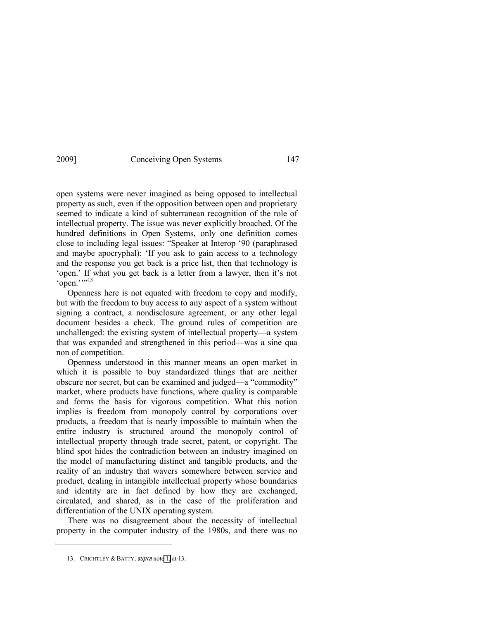open systems were never imagined as being opposed to intellectual property as such, even if the opposition between open and proprietary seemed to indicate a kind of subterranean recognition of the role of intellectual property. The issue was never explicitly broached. Of the hundred definitions in Open Systems, only one definition comes close to including legal issues: "Speaker at Interop '90 (paraphrased and maybe apocryphal): 'If you ask to gain access to a technology and the response you get back is a price list, then that technology is 'open.' If what you get back is a letter from a lawyer, then it's not 'open." $\frac{13}{2}$ 

Openness here is not equated with freedom to copy and modify, but with the freedom to buy access to any aspect of a system without signing a contract, a nondisclosure agreement, or any other legal document besides a check. The ground rules of competition are unchallenged: the existing system of intellectual property—a system that was expanded and strengthened in this period—was a sine qua non of competition.

Openness understood in this manner means an open market in which it is possible to buy standardized things that are neither obscure nor secret, but can be examined and judged—a "commodity" market, where products have functions, where quality is comparable and forms the basis for vigorous competition. What this notion implies is freedom from monopoly control by corporations over products, a freedom that is nearly impossible to maintain when the entire industry is structured around the monopoly control of intellectual property through trade secret, patent, or copyright. The blind spot hides the contradiction between an industry imagined on the model of manufacturing distinct and tangible products, and the reality of an industry that wavers somewhere between service and product, dealing in intangible intellectual property whose boundaries and identity are in fact defined by how they are exchanged, circulated, and shared, as in the case of the proliferation and differentiation of the UNIX operating system.

There was no disagreement about the necessity of intellectual property in the computer industry of the 1980s, and there was no

<sup>13.</sup> CRICHTLEY & BATTY, *supra* note [1,](#page-0-1) at 13.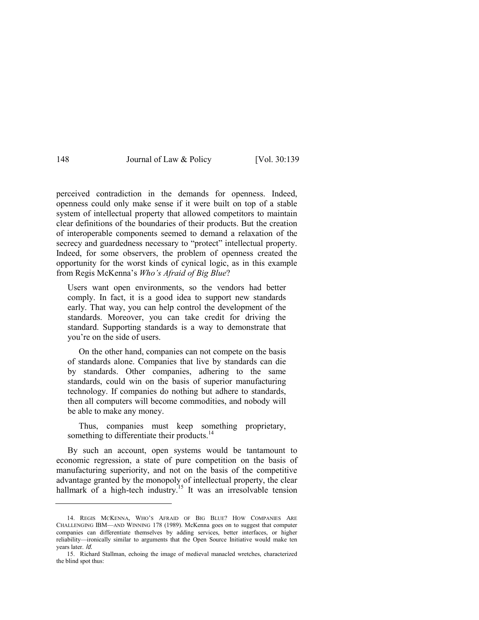perceived contradiction in the demands for openness. Indeed, openness could only make sense if it were built on top of a stable system of intellectual property that allowed competitors to maintain clear definitions of the boundaries of their products. But the creation of interoperable components seemed to demand a relaxation of the secrecy and guardedness necessary to "protect" intellectual property. Indeed, for some observers, the problem of openness created the opportunity for the worst kinds of cynical logic, as in this example from Regis McKenna's Who's Afraid of Big Blue?

Users want open environments, so the vendors had better comply. In fact, it is a good idea to support new standards early. That way, you can help control the development of the standards. Moreover, you can take credit for driving the standard. Supporting standards is a way to demonstrate that vou're on the side of users.

On the other hand, companies can not compete on the basis of standards alone. Companies that live by standards can die by standards. Other companies, adhering to the same standards, could win on the basis of superior manufacturing technology. If companies do nothing but adhere to standards, then all computers will become commodities, and nobody will be able to make any money.

<span id="page-9-0"></span>Thus, companies must keep something proprietary, something to differentiate their products.<sup>14</sup>

By such an account, open systems would be tantamount to economic regression, a state of pure competition on the basis of manufacturing superiority, and not on the basis of the competitive advantage granted by the monopoly of intellectual property, the clear hallmark of a high-tech industry.<sup>15</sup> It was an irresolvable tension

<sup>14.</sup> REGIS MCKENNA, WHO'S AFRAID OF BIG BLUE? HOW COMPANIES ARE CHALLENGING IBM—AND WINNING 178 (1989). McKenna goes on to suggest that computer companies can differentiate themselves by adding services, better interfaces, or higher reliability—ironically similar to arguments that the Open Source Initiative would make ten years later. Id.

<sup>15.</sup> Richard Stallman, echoing the image of medieval manacled wretches, characterized the blind spot thus: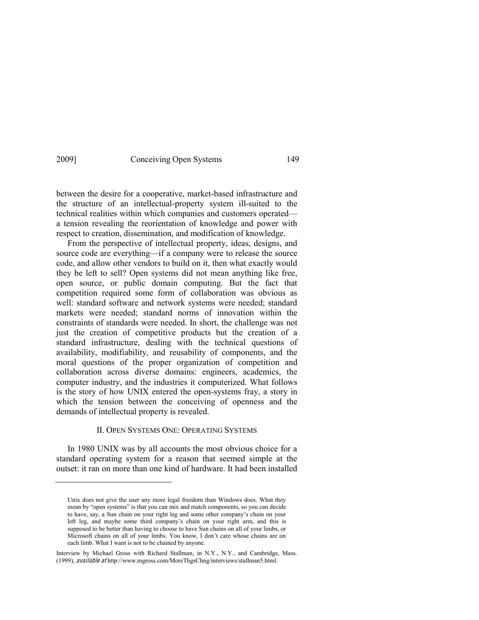between the desire for a cooperative, market-based infrastructure and the structure of an intellectual-property system ill-suited to the technical realities within which companies and customers operated a tension revealing the reorientation of knowledge and power with respect to creation, dissemination, and modification of knowledge.

From the perspective of intellectual property, ideas, designs, and source code are everything—if a company were to release the source code, and allow other vendors to build on it, then what exactly would they be left to sell? Open systems did not mean anything like free, open source, or public domain computing. But the fact that competition required some form of collaboration was obvious as well: standard software and network systems were needed; standard markets were needed; standard norms of innovation within the constraints of standards were needed. In short, the challenge was not just the creation of competitive products but the creation of a standard infrastructure, dealing with the technical questions of availability, modifiability, and reusability of components, and the moral questions of the proper organization of competition and collaboration across diverse domains: engineers, academics, the computer industry, and the industries it computerized. What follows is the story of how UNIX entered the open-systems fray, a story in which the tension between the conceiving of openness and the demands of intellectual property is revealed.

## II. OPEN SYSTEMS ONE: OPERATING SYSTEMS

In 1980 UNIX was by all accounts the most obvious choice for a standard operating system for a reason that seemed simple at the outset: it ran on more than one kind of hardware. It had been installed

Unix does not give the user any more legal freedom than Windows does. What they mean by "open systems" is that you can mix and match components, so you can decide to have, say, a Sun chain on your right leg and some other company's chain on your left leg, and maybe some third company's chain on your right arm, and this is supposed to be better than having to choose to have Sun chains on all of your limbs, or Microsoft chains on all of your limbs. You know, I don't care whose chains are on each limb. What I want is not to be chained by anyone.

Interview by Michael Gross with Richard Stallman, in N.Y., N.Y., and Cambridge, Mass. (1999), availabl<sup>e</sup> <sup>a</sup><sup>t</sup> http://www.mgross.com/MoreThgsChng/interviews/stallman5.html.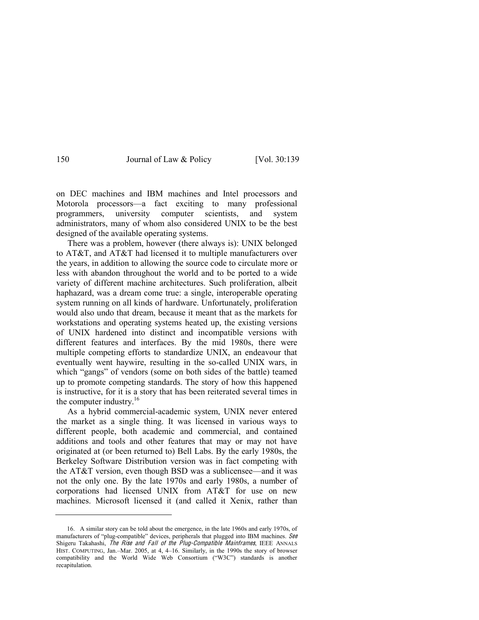on DEC machines and IBM machines and Intel processors and Motorola processors—a fact exciting to many professional programmers, university computer scientists, and system administrators, many of whom also considered UNIX to be the best designed of the available operating systems.

There was a problem, however (there always is): UNIX belonged to AT&T, and AT&T had licensed it to multiple manufacturers over the years, in addition to allowing the source code to circulate more or less with abandon throughout the world and to be ported to a wide variety of different machine architectures. Such proliferation, albeit haphazard, was a dream come true: a single, interoperable operating system running on all kinds of hardware. Unfortunately, proliferation would also undo that dream, because it meant that as the markets for workstations and operating systems heated up, the existing versions of UNIX hardened into distinct and incompatible versions with different features and interfaces. By the mid 1980s, there were multiple competing efforts to standardize UNIX, an endeavour that eventually went haywire, resulting in the so-called UNIX wars, in which "gangs" of vendors (some on both sides of the battle) teamed up to promote competing standards. The story of how this happened is instructive, for it is a story that has been reiterated several times in the computer industry.<sup>16</sup>

As a hybrid commercial-academic system, UNIX never entered the market as a single thing. It was licensed in various ways to different people, both academic and commercial, and contained additions and tools and other features that may or may not have originated at (or been returned to) Bell Labs. By the early 1980s, the Berkeley Software Distribution version was in fact competing with the  $AT&T$  version, even though BSD was a sublicensee—and it was not the only one. By the late 1970s and early 1980s, a number of corporations had licensed UNIX from AT&T for use on new machines. Microsoft licensed it (and called it Xenix, rather than

<sup>16.</sup> A similar story can be told about the emergence, in the late 1960s and early 1970s, of manufacturers of "plug-compatible" devices, peripherals that plugged into IBM machines. See Shigeru Takahashi, The Rise and Fall of the Plug-Compatible Mainframes, IEEE ANNALS HIST. COMPUTING, Jan.-Mar. 2005, at 4, 4-16. Similarly, in the 1990s the story of browser compatibility and the World Wide Web Consortium ("W3C") standards is another recapitulation.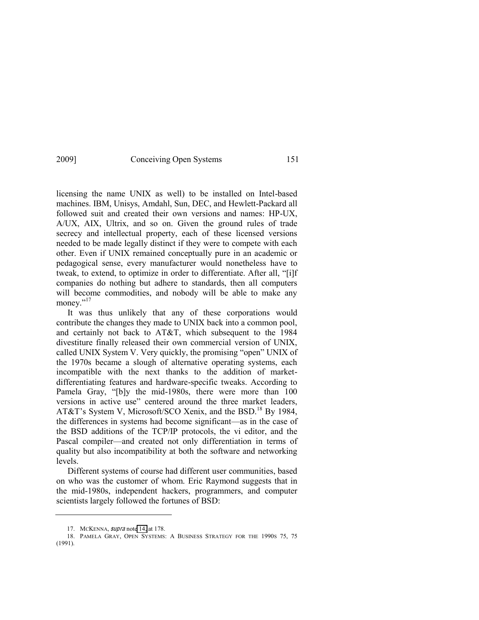licensing the name UNIX as well) to be installed on Intel-based machines. IBM, Unisys, Amdahl, Sun, DEC, and Hewlett-Packard all followed suit and created their own versions and names: HP-UX, A/UX, AIX, Ultrix, and so on. Given the ground rules of trade secrecy and intellectual property, each of these licensed versions needed to be made legally distinct if they were to compete with each other. Even if UNIX remained conceptually pure in an academic or pedagogical sense, every manufacturer would nonetheless have to tweak, to extend, to optimize in order to differentiate. After all, "[i]f companies do nothing but adhere to standards, then all computers will become commodities, and nobody will be able to make any money." $^{17}$ 

It was thus unlikely that any of these corporations would contribute the changes they made to UNIX back into a common pool, and certainly not back to AT&T, which subsequent to the 1984 divestiture finally released their own commercial version of UNIX, called UNIX System V. Very quickly, the promising "open" UNIX of the 1970s became a slough of alternative operating systems, each incompatible with the next thanks to the addition of marketdifferentiating features and hardware-specific tweaks. According to Pamela Gray, "[b]y the mid-1980s, there were more than 100 versions in active use" centered around the three market leaders, AT&T's System V, Microsoft/SCO Xenix, and the BSD.<sup>18</sup> By 1984, the differences in systems had become significant—as in the case of the BSD additions of the TCP/IP protocols, the vi editor, and the Pascal compiler—and created not only differentiation in terms of quality but also incompatibility at both the software and networking levels.

<span id="page-12-0"></span>Different systems of course had different user communities, based on who was the customer of whom. Eric Raymond suggests that in the mid-1980s, independent hackers, programmers, and computer scientists largely followed the fortunes of BSD:

<sup>17.</sup> MCKENNA, *supra* not[e 14,](#page-9-0) at 178.

<sup>18.</sup> PAMELA GRAY, OPEN SYSTEMS: A BUSINESS STRATEGY FOR THE 1990S 75, 75 (1991).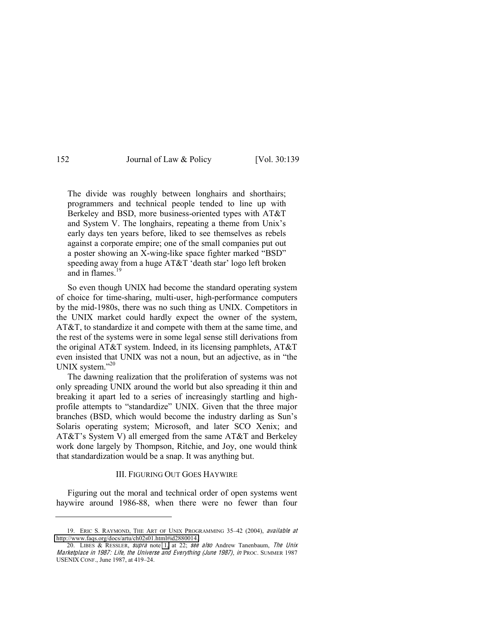The divide was roughly between longhairs and shorthairs; programmers and technical people tended to line up with Berkeley and BSD, more business-oriented types with AT&T and System V. The longhairs, repeating a theme from Unix's early days ten years before, liked to see themselves as rebels against a corporate empire; one of the small companies put out a poster showing an X-wing-like space fighter marked "BSD" speeding away from a huge  $AT&T$  'death star' logo left broken and in flames<sup>19</sup>

So even though UNIX had become the standard operating system of choice for time-sharing, multi-user, high-performance computers by the mid-1980s, there was no such thing as UNIX. Competitors in the UNIX market could hardly expect the owner of the system, AT&T, to standardize it and compete with them at the same time, and the rest of the systems were in some legal sense still derivations from the original AT&T system. Indeed, in its licensing pamphlets, AT&T even insisted that UNIX was not a noun, but an adjective, as in "the UNIX system. $"^{20}$ 

The dawning realization that the proliferation of systems was not only spreading UNIX around the world but also spreading it thin and breaking it apart led to a series of increasingly startling and highprofile attempts to "standardize" UNIX. Given that the three major branches (BSD, which would become the industry darling as Sun's Solaris operating system; Microsoft, and later SCO Xenix; and  $AT&T$ 's System V) all emerged from the same  $AT&T$  and Berkeley work done largely by Thompson, Ritchie, and Joy, one would think that standardization would be a snap. It was anything but.

## III. FIGURING OUT GOES HAYWIRE

Figuring out the moral and technical order of open systems went haywire around 1986-88, when there were no fewer than four

<sup>19.</sup> ERIC S. RAYMOND, THE ART OF UNIX PROGRAMMING 35-42 (2004), available at [http://www.faqs.org/docs/artu/ch02s01.html#id2880014.](http://www.faqs.org/docs/artu/ch02s01.html#id2880014)

<sup>20.</sup> LIBES & RESSLER, *supra* note [1,](#page-0-1) at 22; see also Andrew Tanenbaum, The Unix Marketplace in 1987: Life, the Universe and Everything (June 1987), in PROC. SUMMER 1987 USENIX CONF., June 1987, at 419-24.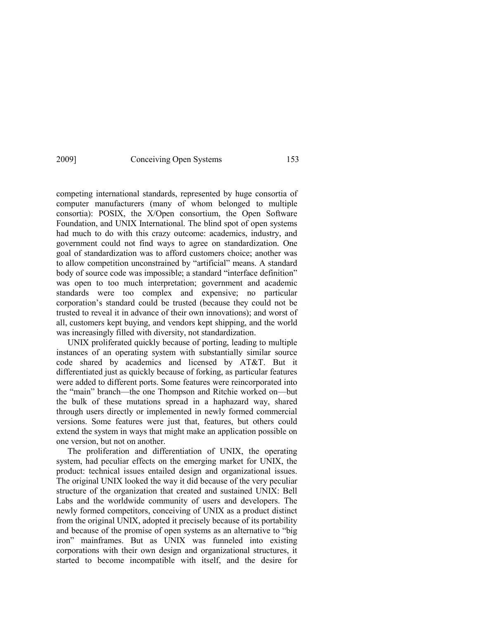competing international standards, represented by huge consortia of computer manufacturers (many of whom belonged to multiple consortia): POSIX, the X/Open consortium, the Open Software Foundation, and UNIX International. The blind spot of open systems had much to do with this crazy outcome: academics, industry, and government could not find ways to agree on standardization. One goal of standardization was to afford customers choice; another was to allow competition unconstrained by "artificial" means. A standard body of source code was impossible; a standard "interface definition" was open to too much interpretation; government and academic standards were too complex and expensive; no particular corporation's standard could be trusted (because they could not be trusted to reveal it in advance of their own innovations); and worst of all, customers kept buying, and vendors kept shipping, and the world was increasingly filled with diversity, not standardization.

UNIX proliferated quickly because of porting, leading to multiple instances of an operating system with substantially similar source code shared by academics and licensed by AT&T. But it differentiated just as quickly because of forking, as particular features were added to different ports. Some features were reincorporated into the "main" branch—the one Thompson and Ritchie worked on—but the bulk of these mutations spread in a haphazard way, shared through users directly or implemented in newly formed commercial versions. Some features were just that, features, but others could extend the system in ways that might make an application possible on one version, but not on another.

The proliferation and differentiation of UNIX, the operating system, had peculiar effects on the emerging market for UNIX, the product: technical issues entailed design and organizational issues. The original UNIX looked the way it did because of the very peculiar structure of the organization that created and sustained UNIX: Bell Labs and the worldwide community of users and developers. The newly formed competitors, conceiving of UNIX as a product distinct from the original UNIX, adopted it precisely because of its portability and because of the promise of open systems as an alternative to "big iron" mainframes. But as UNIX was funneled into existing corporations with their own design and organizational structures, it started to become incompatible with itself, and the desire for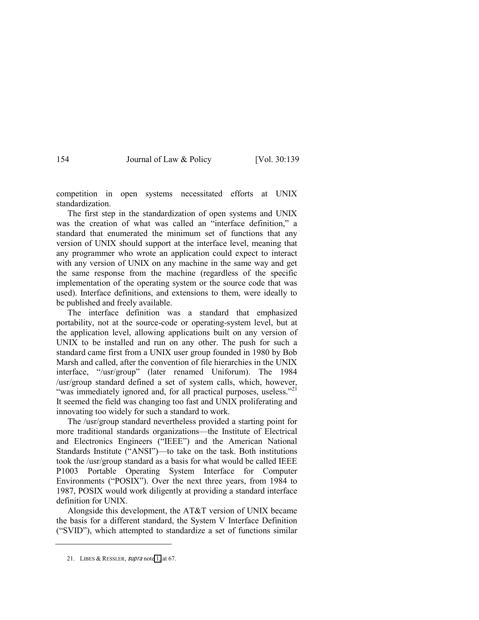competition in open systems necessitated efforts at UNIX standardization.

The first step in the standardization of open systems and UNIX was the creation of what was called an "interface definition," a standard that enumerated the minimum set of functions that any version of UNIX should support at the interface level, meaning that any programmer who wrote an application could expect to interact with any version of UNIX on any machine in the same way and get the same response from the machine (regardless of the specific implementation of the operating system or the source code that was used). Interface definitions, and extensions to them, were ideally to be published and freely available.

The interface definition was a standard that emphasized portability, not at the source-code or operating-system level, but at the application level, allowing applications built on any version of UNIX to be installed and run on any other. The push for such a standard came first from a UNIX user group founded in 1980 by Bob Marsh and called, after the convention of file hierarchies in the UNIX interface, "/usr/group" (later renamed Uniforum). The 1984 /usr/group standard defined a set of system calls, which, however, "was immediately ignored and, for all practical purposes, useless."<sup>21</sup> It seemed the field was changing too fast and UNIX proliferating and innovating too widely for such a standard to work.

The /usr/group standard nevertheless provided a starting point for more traditional standards organizations—the Institute of Electrical and Electronics Engineers ("IEEE") and the American National Standards Institute ("ANSI")—to take on the task. Both institutions took the /usr/group standard as a basis for what would be called IEEE P1003 Portable Operating System Interface for Computer Environments ("POSIX"). Over the next three years, from 1984 to 1987, POSIX would work diligently at providing a standard interface definition for UNIX.

Alongside this development, the AT&T version of UNIX became the basis for a different standard, the System V Interface Definition ("SVID"), which attempted to standardize a set of functions similar

<sup>21.</sup> LIBES & RESSLER, *supra* not[e 1,](#page-0-1) at 67.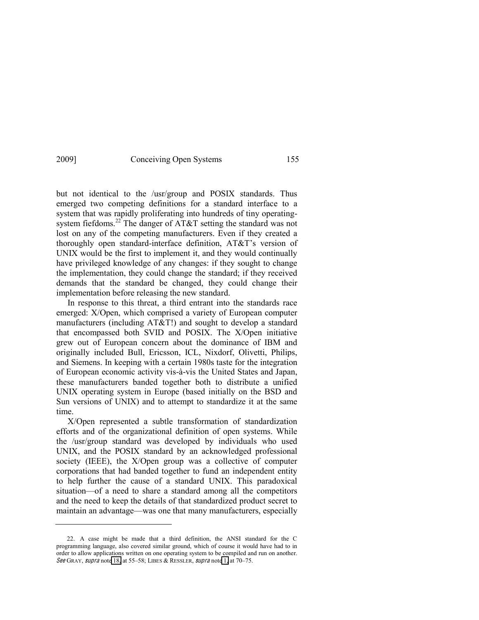but not identical to the /usr/group and POSIX standards. Thus emerged two competing definitions for a standard interface to a system that was rapidly proliferating into hundreds of tiny operatingsystem fiefdoms.<sup>22</sup> The danger of AT&T setting the standard was not lost on any of the competing manufacturers. Even if they created a thoroughly open standard-interface definition,  $AT&T$ 's version of UNIX would be the first to implement it, and they would continually have privileged knowledge of any changes: if they sought to change the implementation, they could change the standard; if they received demands that the standard be changed, they could change their implementation before releasing the new standard.

In response to this threat, a third entrant into the standards race emerged: X/Open, which comprised a variety of European computer manufacturers (including AT&T!) and sought to develop a standard that encompassed both SVID and POSIX. The X/Open initiative grew out of European concern about the dominance of IBM and originally included Bull, Ericsson, ICL, Nixdorf, Olivetti, Philips, and Siemens. In keeping with a certain 1980s taste for the integration of European economic activity vis-à-vis the United States and Japan, these manufacturers banded together both to distribute a unified UNIX operating system in Europe (based initially on the BSD and Sun versions of UNIX) and to attempt to standardize it at the same time.

X/Open represented a subtle transformation of standardization efforts and of the organizational definition of open systems. While the /usr/group standard was developed by individuals who used UNIX, and the POSIX standard by an acknowledged professional society (IEEE), the X/Open group was a collective of computer corporations that had banded together to fund an independent entity to help further the cause of a standard UNIX. This paradoxical situation-of a need to share a standard among all the competitors and the need to keep the details of that standardized product secret to maintain an advantage—was one that many manufacturers, especially

<sup>22.</sup> A case might be made that a third definition, the ANSI standard for the C programming language, also covered similar ground, which of course it would have had to in order to allow applications written on one operating system to be compiled and run on another. See GRAY, supra not[e 18,](#page-12-0) at 55-58; LIBES & RESSLER, supra not[e 1,](#page-0-1) at 70-75.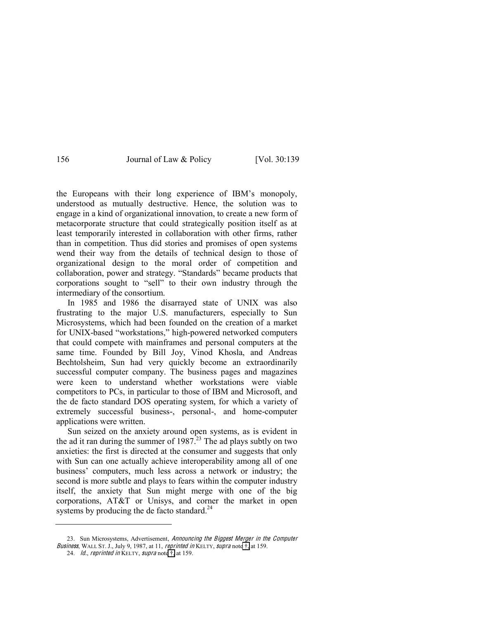the Europeans with their long experience of IBM's monopoly, understood as mutually destructive. Hence, the solution was to engage in a kind of organizational innovation, to create a new form of metacorporate structure that could strategically position itself as at least temporarily interested in collaboration with other firms, rather than in competition. Thus did stories and promises of open systems wend their way from the details of technical design to those of organizational design to the moral order of competition and collaboration, power and strategy. "Standards" became products that corporations sought to "sell" to their own industry through the intermediary of the consortium.

In 1985 and 1986 the disarrayed state of UNIX was also frustrating to the major U.S. manufacturers, especially to Sun Microsystems, which had been founded on the creation of a market for UNIX-based "workstations," high-powered networked computers that could compete with mainframes and personal computers at the same time. Founded by Bill Joy, Vinod Khosla, and Andreas Bechtolsheim, Sun had very quickly become an extraordinarily successful computer company. The business pages and magazines were keen to understand whether workstations were viable competitors to PCs, in particular to those of IBM and Microsoft, and the de facto standard DOS operating system, for which a variety of extremely successful business-, personal-, and home-computer applications were written.

Sun seized on the anxiety around open systems, as is evident in the ad it ran during the summer of  $1987<sup>23</sup>$ . The ad plays subtly on two anxieties: the first is directed at the consumer and suggests that only with Sun can one actually achieve interoperability among all of one business' computers, much less across a network or industry; the second is more subtle and plays to fears within the computer industry itself, the anxiety that Sun might merge with one of the big corporations, AT&T or Unisys, and corner the market in open systems by producing the de facto standard. $^{24}$ 

<sup>23.</sup> Sun Microsystems, Advertisement, Announcing the Biggest Merger in the Computer Business, WALL ST. J., July 9, 1987, at 11, reprinted in KELTY, supra note  $\dagger$ , at 159.

<sup>24.</sup> *Id., reprinted in* KELTY, *supra* note  $\dagger$ , at 159.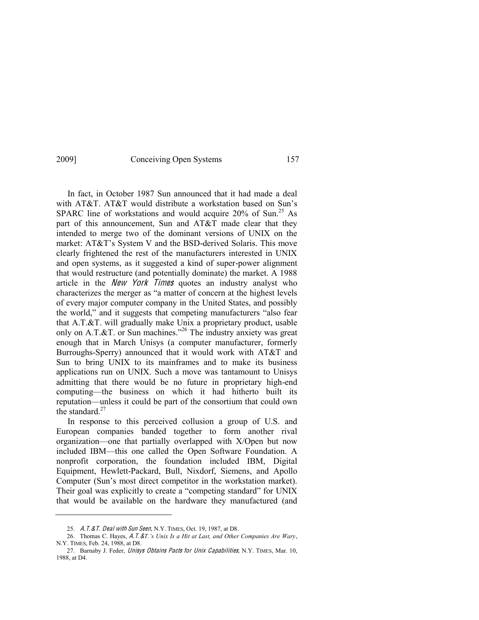In fact, in October 1987 Sun announced that it had made a deal with AT&T. AT&T would distribute a workstation based on Sun's SPARC line of workstations and would acquire  $20\%$  of Sun.<sup>25</sup> As part of this announcement, Sun and AT&T made clear that they intended to merge two of the dominant versions of UNIX on the market:  $AT&T$ 's System V and the BSD-derived Solaris. This move clearly frightened the rest of the manufacturers interested in UNIX and open systems, as it suggested a kind of super-power alignment that would restructure (and potentially dominate) the market. A 1988 article in the Ne<sup>w</sup> York Time<sup>s</sup> quotes an industry analyst who characterizes the merger as "a matter of concern at the highest levels of every major computer company in the United States, and possibly the world," and it suggests that competing manufacturers "also fear that A.T.&T. will gradually make Unix a proprietary product, usable only on A.T.&T. or Sun machines."<sup>26</sup> The industry anxiety was great enough that in March Unisys (a computer manufacturer, formerly Burroughs-Sperry) announced that it would work with AT&T and Sun to bring UNIX to its mainframes and to make its business applications run on UNIX. Such a move was tantamount to Unisys admitting that there would be no future in proprietary high-end computing—the business on which it had hitherto built its reputation—unless it could be part of the consortium that could own the standard.<sup>27</sup>

In response to this perceived collusion a group of U.S. and European companies banded together to form another rival organization—one that partially overlapped with X/Open but now included IBM—this one called the Open Software Foundation. A nonprofit corporation, the foundation included IBM, Digital Equipment, Hewlett-Packard, Bull, Nixdorf, Siemens, and Apollo Computer (Sun's most direct competitor in the workstation market). Their goal was explicitly to create a "competing standard" for UNIX that would be available on the hardware they manufactured (and

<sup>25.</sup> A.T.&T. Deal with Sun Seen, N.Y. TIMES, Oct. 19, 1987, at D8.

<sup>26.</sup> Thomas C. Hayes, A.T.&T.'s Unix Is a Hit at Last, and Other Companies Are Wary, N.Y. TIMES, Feb. 24, 1988, at D8.

<sup>27.</sup> Barnaby J. Feder, *Unisys Obtains Pacts for Unix Capabilities*, N.Y. TIMES, Mar. 10, 1988, at D4.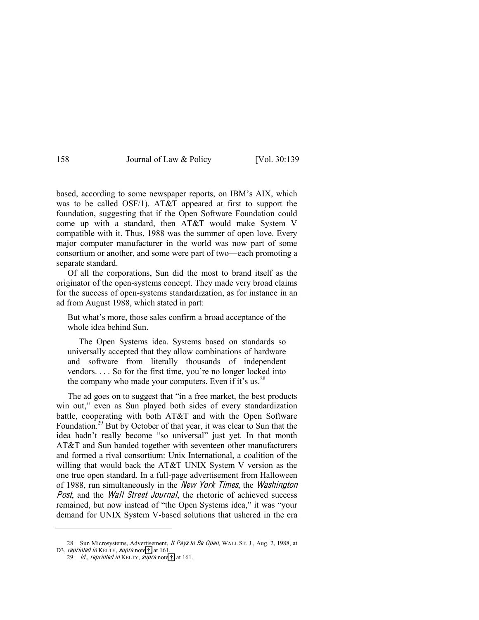based, according to some newspaper reports, on IBM's AIX, which was to be called OSF/1). AT&T appeared at first to support the foundation, suggesting that if the Open Software Foundation could come up with a standard, then AT&T would make System V compatible with it. Thus, 1988 was the summer of open love. Every major computer manufacturer in the world was now part of some consortium or another, and some were part of two—each promoting a separate standard.

Of all the corporations, Sun did the most to brand itself as the originator of the open-systems concept. They made very broad claims for the success of open-systems standardization, as for instance in an ad from August 1988, which stated in part:

But what's more, those sales confirm a broad acceptance of the whole idea behind Sun.

The Open Systems idea. Systems based on standards so universally accepted that they allow combinations of hardware and software from literally thousands of independent vendors.  $\ldots$  So for the first time, you're no longer locked into the company who made your computers. Even if it's us.<sup>28</sup>

The ad goes on to suggest that "in a free market, the best products" win out," even as Sun played both sides of every standardization battle, cooperating with both AT&T and with the Open Software Foundation.29 But by October of that year, it was clear to Sun that the idea hadn't really become "so universal" just yet. In that month AT&T and Sun banded together with seventeen other manufacturers and formed a rival consortium: Unix International, a coalition of the willing that would back the AT&T UNIX System V version as the one true open standard. In a full-page advertisement from Halloween of 1988, run simultaneously in the Ne<sup>w</sup> York Time<sup>s</sup>, the Washington Post, and the Wall Street Journal, the rhetoric of achieved success remained, but now instead of "the Open Systems idea," it was "your demand for UNIX System V-based solutions that ushered in the era

<sup>28.</sup> Sun Microsystems, Advertisement, *It Pays to Be Open*, WALL ST. J., Aug. 2, 1988, at D3, reprinted in KELTY, supra note  $\dagger$ , at 161.

<sup>29.</sup> *Id., reprinted in* KELTY, *supra* note  $\dagger$ , at 161.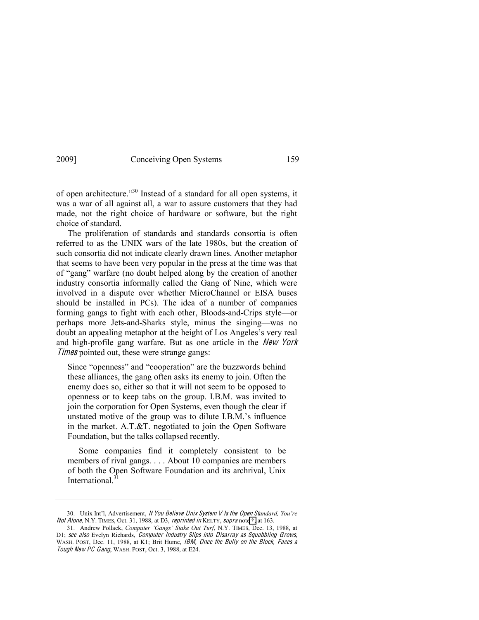of open architecture."<sup>30</sup> Instead of a standard for all open systems, it was a war of all against all, a war to assure customers that they had made, not the right choice of hardware or software, but the right choice of standard.

The proliferation of standards and standards consortia is often referred to as the UNIX wars of the late 1980s, but the creation of such consortia did not indicate clearly drawn lines. Another metaphor that seems to have been very popular in the press at the time was that of "gang" warfare (no doubt helped along by the creation of another industry consortia informally called the Gang of Nine, which were involved in a dispute over whether MicroChannel or EISA buses should be installed in PCs). The idea of a number of companies forming gangs to fight with each other, Bloods-and-Crips style—or perhaps more Jets-and-Sharks style, minus the singing—was no doubt an appealing metaphor at the height of Los Angeles's very real and high-profile gang warfare. But as one article in the Ne<sup>w</sup> York Time<sup>s</sup> pointed out, these were strange gangs:

Since "openness" and "cooperation" are the buzzwords behind these alliances, the gang often asks its enemy to join. Often the enemy does so, either so that it will not seem to be opposed to openness or to keep tabs on the group. I.B.M. was invited to join the corporation for Open Systems, even though the clear if unstated motive of the group was to dilute I.B.M.'s influence in the market. A.T.&T. negotiated to join the Open Software Foundation, but the talks collapsed recently.

Some companies find it completely consistent to be members of rival gangs. . . . About 10 companies are members of both the Open Software Foundation and its archrival, Unix International. $3<sup>5</sup>$ 

<sup>30.</sup> Unix Int'l, Advertisement, If You Believe Unix System V Is the Open Standard, You're Not Alone, N.Y. TIMES, Oct. 31, 1988, at D3, reprinted in KELTY, supra note  $\dagger$ , at 163.

<sup>31.</sup> Andrew Pollack, *Computer 'Gangs' Stake Out Turf*, N.Y. TIMES, Dec. 13, 1988, at D1; see also Evelyn Richards, Computer Industry Slips into Disarray as Squabbling Grows, WASH. POST, Dec. 11, 1988, at K1; Brit Hume, IBM, Once the Bully on the Block, Faces a Tough Ne<sup>w</sup> PC Gang, WASH. POST, Oct. 3, 1988, at E24.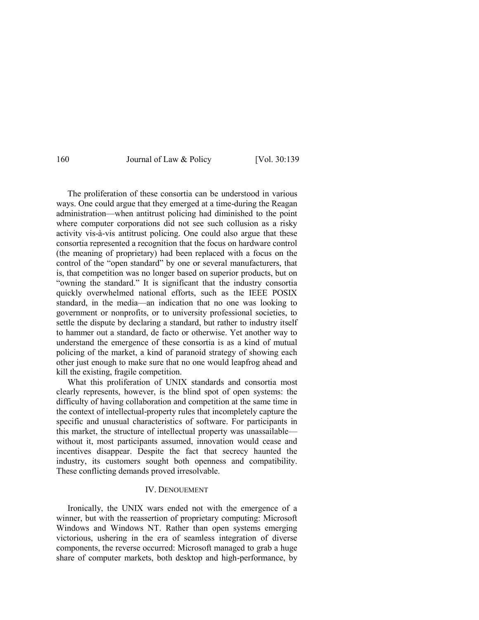The proliferation of these consortia can be understood in various ways. One could argue that they emerged at a time-during the Reagan administration—when antitrust policing had diminished to the point where computer corporations did not see such collusion as a risky activity vis-à-vis antitrust policing. One could also argue that these consortia represented a recognition that the focus on hardware control (the meaning of proprietary) had been replaced with a focus on the control of the "open standard" by one or several manufacturers, that is, that competition was no longer based on superior products, but on "owning the standard." It is significant that the industry consortia quickly overwhelmed national efforts, such as the IEEE POSIX standard, in the media—an indication that no one was looking to government or nonprofits, or to university professional societies, to settle the dispute by declaring a standard, but rather to industry itself to hammer out a standard, de facto or otherwise. Yet another way to understand the emergence of these consortia is as a kind of mutual policing of the market, a kind of paranoid strategy of showing each other just enough to make sure that no one would leapfrog ahead and kill the existing, fragile competition.

What this proliferation of UNIX standards and consortia most clearly represents, however, is the blind spot of open systems: the difficulty of having collaboration and competition at the same time in the context of intellectual-property rules that incompletely capture the specific and unusual characteristics of software. For participants in this market, the structure of intellectual property was unassailable without it, most participants assumed, innovation would cease and incentives disappear. Despite the fact that secrecy haunted the industry, its customers sought both openness and compatibility. These conflicting demands proved irresolvable.

## IV. DENOUEMENT

Ironically, the UNIX wars ended not with the emergence of a winner, but with the reassertion of proprietary computing: Microsoft Windows and Windows NT. Rather than open systems emerging victorious, ushering in the era of seamless integration of diverse components, the reverse occurred: Microsoft managed to grab a huge share of computer markets, both desktop and high-performance, by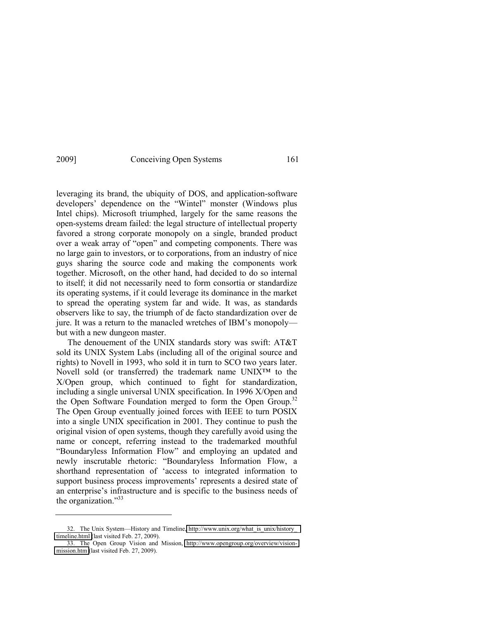leveraging its brand, the ubiquity of DOS, and application-software developers' dependence on the "Wintel" monster (Windows plus Intel chips). Microsoft triumphed, largely for the same reasons the open-systems dream failed: the legal structure of intellectual property favored a strong corporate monopoly on a single, branded product over a weak array of "open" and competing components. There was no large gain to investors, or to corporations, from an industry of nice guys sharing the source code and making the components work together. Microsoft, on the other hand, had decided to do so internal to itself; it did not necessarily need to form consortia or standardize its operating systems, if it could leverage its dominance in the market to spread the operating system far and wide. It was, as standards observers like to say, the triumph of de facto standardization over de jure. It was a return to the manacled wretches of IBM's monopoly but with a new dungeon master.

<span id="page-22-0"></span>The denouement of the UNIX standards story was swift: AT&T sold its UNIX System Labs (including all of the original source and rights) to Novell in 1993, who sold it in turn to SCO two years later. Novell sold (or transferred) the trademark name UNIX<sup>TM</sup> to the X/Open group, which continued to fight for standardization, including a single universal UNIX specification. In 1996 X/Open and the Open Software Foundation merged to form the Open Group.<sup>32</sup> The Open Group eventually joined forces with IEEE to turn POSIX into a single UNIX specification in 2001. They continue to push the original vision of open systems, though they carefully avoid using the name or concept, referring instead to the trademarked mouthful "Boundaryless Information Flow" and employing an updated and newly inscrutable rhetoric: "Boundaryless Information Flow, a shorthand representation of 'access to integrated information to support business process improvements' represents a desired state of an enterprise's infrastructure and is specific to the business needs of the organization." $33$ 

<sup>32.</sup> The Unix System—History and Timeline, http://www.unix.org/what\_is\_unix/history\_ [timeline.html](http://www.unix.org/what_is_unix/history_timeline.html) (last visited Feb. 27, 2009).

<sup>33.</sup> The Open Group Vision and Mission, [http://www.opengroup.org/overview/vision](http://www.opengroup.org/overview/vision-mission.htm)[mission.htm](http://www.opengroup.org/overview/vision-mission.htm) (last visited Feb. 27, 2009).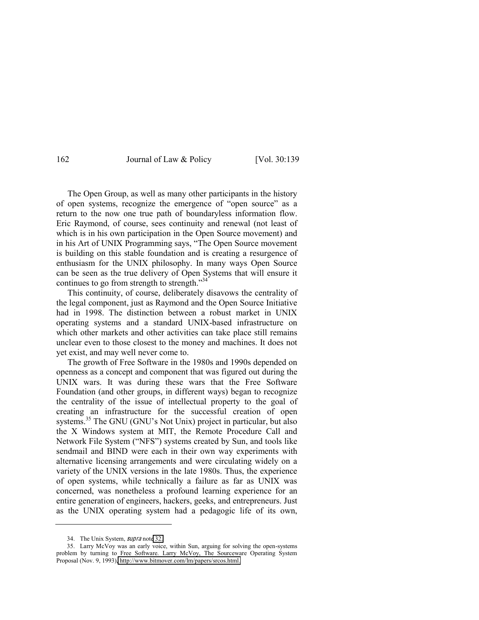The Open Group, as well as many other participants in the history of open systems, recognize the emergence of "open source" as a return to the now one true path of boundaryless information flow. Eric Raymond, of course, sees continuity and renewal (not least of which is in his own participation in the Open Source movement) and in his Art of UNIX Programming says, "The Open Source movement is building on this stable foundation and is creating a resurgence of enthusiasm for the UNIX philosophy. In many ways Open Source can be seen as the true delivery of Open Systems that will ensure it continues to go from strength to strength." $34$ 

This continuity, of course, deliberately disavows the centrality of the legal component, just as Raymond and the Open Source Initiative had in 1998. The distinction between a robust market in UNIX operating systems and a standard UNIX-based infrastructure on which other markets and other activities can take place still remains unclear even to those closest to the money and machines. It does not yet exist, and may well never come to.

The growth of Free Software in the 1980s and 1990s depended on openness as a concept and component that was figured out during the UNIX wars. It was during these wars that the Free Software Foundation (and other groups, in different ways) began to recognize the centrality of the issue of intellectual property to the goal of creating an infrastructure for the successful creation of open systems.<sup>35</sup> The GNU (GNU's Not Unix) project in particular, but also the X Windows system at MIT, the Remote Procedure Call and Network File System ("NFS") systems created by Sun, and tools like sendmail and BIND were each in their own way experiments with alternative licensing arrangements and were circulating widely on a variety of the UNIX versions in the late 1980s. Thus, the experience of open systems, while technically a failure as far as UNIX was concerned, was nonetheless a profound learning experience for an entire generation of engineers, hackers, geeks, and entrepreneurs. Just as the UNIX operating system had a pedagogic life of its own,

<sup>34.</sup> The Unix System, *supra* not[e 32.](#page-22-0)

<sup>35.</sup> Larry McVoy was an early voice, within Sun, arguing for solving the open-systems problem by turning to Free Software. Larry McVoy, The Sourceware Operating System Proposal (Nov. 9, 1993)[, http://www.bitmover.com/lm/papers/srcos.html.](http://www.bitmover.com/lm/papers/srcos.html)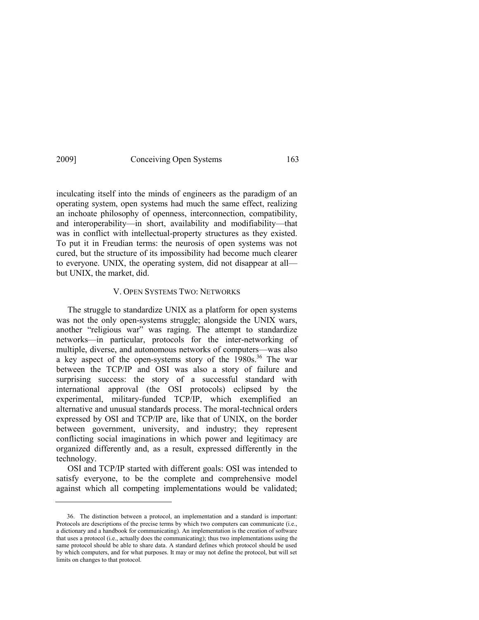inculcating itself into the minds of engineers as the paradigm of an operating system, open systems had much the same effect, realizing an inchoate philosophy of openness, interconnection, compatibility, and interoperability—in short, availability and modifiability—that was in conflict with intellectual-property structures as they existed. To put it in Freudian terms: the neurosis of open systems was not cured, but the structure of its impossibility had become much clearer to everyone. UNIX, the operating system, did not disappear at all but UNIX, the market, did.

#### V. OPEN SYSTEMS TWO: NETWORKS

The struggle to standardize UNIX as a platform for open systems was not the only open-systems struggle; alongside the UNIX wars, another "religious war" was raging. The attempt to standardize networks-in particular, protocols for the inter-networking of multiple, diverse, and autonomous networks of computers—was also a key aspect of the open-systems story of the  $1980s$ .<sup>36</sup> The war between the TCP/IP and OSI was also a story of failure and surprising success: the story of a successful standard with international approval (the OSI protocols) eclipsed by the experimental, military-funded TCP/IP, which exemplified an alternative and unusual standards process. The moral-technical orders expressed by OSI and TCP/IP are, like that of UNIX, on the border between government, university, and industry; they represent conflicting social imaginations in which power and legitimacy are organized differently and, as a result, expressed differently in the technology.

OSI and TCP/IP started with different goals: OSI was intended to satisfy everyone, to be the complete and comprehensive model against which all competing implementations would be validated;

<sup>36.</sup> The distinction between a protocol, an implementation and a standard is important: Protocols are descriptions of the precise terms by which two computers can communicate (i.e., a dictionary and a handbook for communicating). An implementation is the creation of software that uses a protocol (i.e., actually does the communicating); thus two implementations using the same protocol should be able to share data. A standard defines which protocol should be used by which computers, and for what purposes. It may or may not define the protocol, but will set limits on changes to that protocol.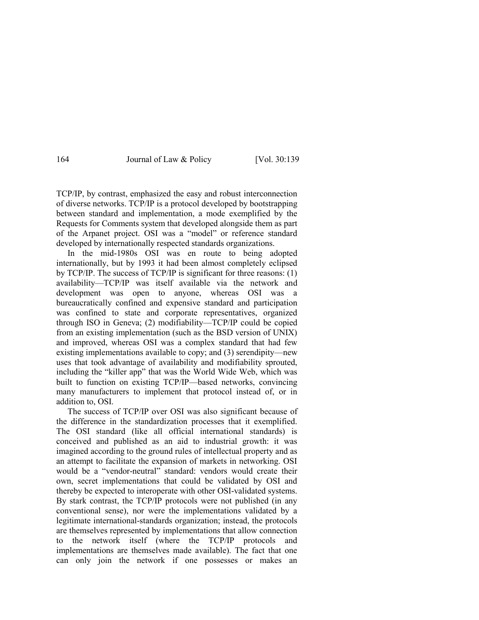TCP/IP, by contrast, emphasized the easy and robust interconnection of diverse networks. TCP/IP is a protocol developed by bootstrapping between standard and implementation, a mode exemplified by the Requests for Comments system that developed alongside them as part of the Arpanet project. OSI was a "model" or reference standard developed by internationally respected standards organizations.

In the mid-1980s OSI was en route to being adopted internationally, but by 1993 it had been almost completely eclipsed by TCP/IP. The success of TCP/IP is significant for three reasons: (1) availability-TCP/IP was itself available via the network and development was open to anyone, whereas OSI was a bureaucratically confined and expensive standard and participation was confined to state and corporate representatives, organized through ISO in Geneva; (2) modifiability-TCP/IP could be copied from an existing implementation (such as the BSD version of UNIX) and improved, whereas OSI was a complex standard that had few existing implementations available to copy; and  $(3)$  serendipity—new uses that took advantage of availability and modifiability sprouted, including the "killer app" that was the World Wide Web, which was built to function on existing TCP/IP—based networks, convincing many manufacturers to implement that protocol instead of, or in addition to, OSI.

The success of TCP/IP over OSI was also significant because of the difference in the standardization processes that it exemplified. The OSI standard (like all official international standards) is conceived and published as an aid to industrial growth: it was imagined according to the ground rules of intellectual property and as an attempt to facilitate the expansion of markets in networking. OSI would be a "vendor-neutral" standard: vendors would create their own, secret implementations that could be validated by OSI and thereby be expected to interoperate with other OSI-validated systems. By stark contrast, the TCP/IP protocols were not published (in any conventional sense), nor were the implementations validated by a legitimate international-standards organization; instead, the protocols are themselves represented by implementations that allow connection to the network itself (where the TCP/IP protocols and implementations are themselves made available). The fact that one can only join the network if one possesses or makes an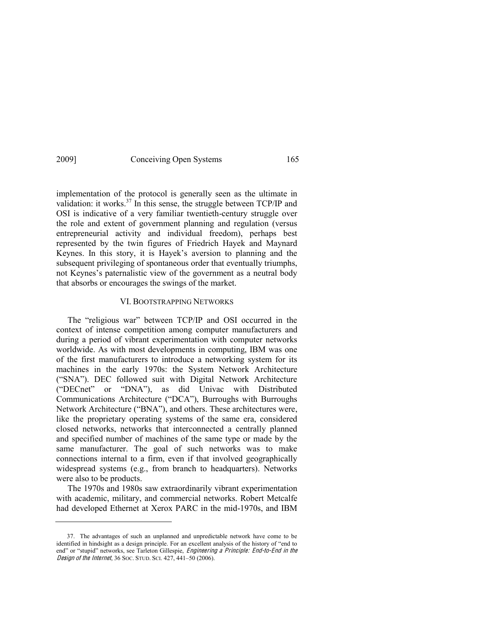implementation of the protocol is generally seen as the ultimate in validation: it works. $37$  In this sense, the struggle between TCP/IP and OSI is indicative of a very familiar twentieth-century struggle over the role and extent of government planning and regulation (versus entrepreneurial activity and individual freedom), perhaps best represented by the twin figures of Friedrich Hayek and Maynard Keynes. In this story, it is Hayek's aversion to planning and the subsequent privileging of spontaneous order that eventually triumphs, not Keynes's paternalistic view of the government as a neutral body that absorbs or encourages the swings of the market.

## VI. BOOTSTRAPPING NETWORKS

The "religious war" between TCP/IP and OSI occurred in the context of intense competition among computer manufacturers and during a period of vibrant experimentation with computer networks worldwide. As with most developments in computing, IBM was one of the first manufacturers to introduce a networking system for its machines in the early 1970s: the System Network Architecture ("SNA"). DEC followed suit with Digital Network Architecture ("DECnet" or "DNA"), as did Univac with Distributed Communications Architecture ("DCA"), Burroughs with Burroughs Network Architecture ("BNA"), and others. These architectures were, like the proprietary operating systems of the same era, considered closed networks, networks that interconnected a centrally planned and specified number of machines of the same type or made by the same manufacturer. The goal of such networks was to make connections internal to a firm, even if that involved geographically widespread systems (e.g., from branch to headquarters). Networks were also to be products.

The 1970s and 1980s saw extraordinarily vibrant experimentation with academic, military, and commercial networks. Robert Metcalfe had developed Ethernet at Xerox PARC in the mid-1970s, and IBM

<sup>37.</sup> The advantages of such an unplanned and unpredictable network have come to be identified in hindsight as a design principle. For an excellent analysis of the history of "end to end" or "stupid" networks, see Tarleton Gillespie, Engineering a Principle: End-to-End in the Design of the Internet,  $36$  Soc. STUD. SCI.  $427$ ,  $441-50$  (2006).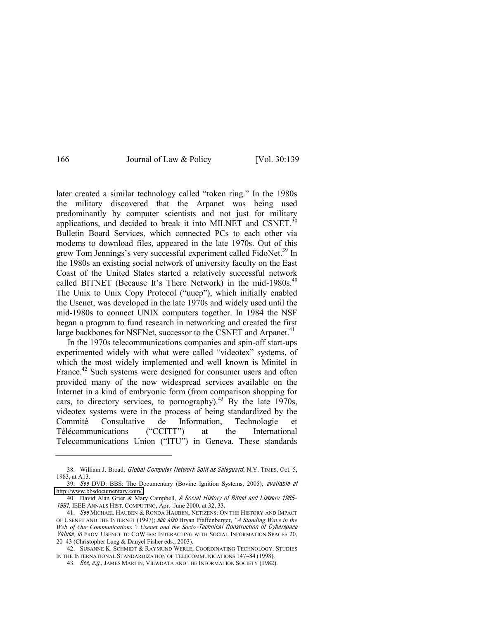later created a similar technology called "token ring." In the 1980s the military discovered that the Arpanet was being used predominantly by computer scientists and not just for military applications, and decided to break it into MILNET and CSNET.<sup>3</sup> Bulletin Board Services, which connected PCs to each other via modems to download files, appeared in the late 1970s. Out of this grew Tom Jennings's very successful experiment called FidoNet.<sup>39</sup> In the 1980s an existing social network of university faculty on the East Coast of the United States started a relatively successful network called BITNET (Because It's There Network) in the mid-1980s. $40$ The Unix to Unix Copy Protocol ("uucp"), which initially enabled the Usenet, was developed in the late 1970s and widely used until the mid-1980s to connect UNIX computers together. In 1984 the NSF began a program to fund research in networking and created the first large backbones for NSFNet, successor to the CSNET and Arpanet.<sup>41</sup>

<span id="page-27-0"></span>In the 1970s telecommunications companies and spin-off start-ups experimented widely with what were called "videotex" systems, of which the most widely implemented and well known is Minitel in France.<sup>42</sup> Such systems were designed for consumer users and often provided many of the now widespread services available on the Internet in a kind of embryonic form (from comparison shopping for cars, to directory services, to pornography). $43^{3}$  By the late 1970s, videotex systems were in the process of being standardized by the Commité Consultative de Information, Technologie et Télécommunications ("CCITT") at the International Telecommunications Union ("ITU") in Geneva. These standards

<sup>38.</sup> William J. Broad, *Global Computer Network Split as Safeguard*, N.Y. TIMES, Oct. 5, 1983, at A13.

<sup>39.</sup> See DVD: BBS: The Documentary (Bovine Ignition Systems, 2005), availabl<sup>e</sup> <sup>a</sup><sup>t</sup> [http://www.bbsdocumentary.com/.](http://www.bbsdocumentary.com/)

<sup>40.</sup> David Alan Grier & Mary Campbell, A Social History of Bitnet and Listsery 1985-1991, IEEE ANNALS HIST. COMPUTING, Apr.-June 2000, at 32, 33.

<sup>41.</sup> See MICHAEL HAUBEN & RONDA HAUBEN, NETIZENS: ON THE HISTORY AND IMPACT OF USENET AND THE INTERNET (1997); see also Bryan Pfaffenberger, "A Standing Wave in the *Web of Our Communications": Usenet and the Socio-Technical Construction of Cyberspace* Values, in FROM USENET TO COWEBS: INTERACTING WITH SOCIAL INFORMATION SPACES 20, 20–43 (Christopher Lueg & Danyel Fisher eds., 2003).

<sup>42.</sup> SUSANNE K. SCHMIDT & RAYMUND WERLE, COORDINATING TECHNOLOGY: STUDIES IN THE INTERNATIONAL STANDARDIZATION OF TELECOMMUNICATIONS 147-84 (1998).

<sup>43.</sup> See, e.g., JAMES MARTIN, VIEWDATA AND THE INFORMATION SOCIETY (1982).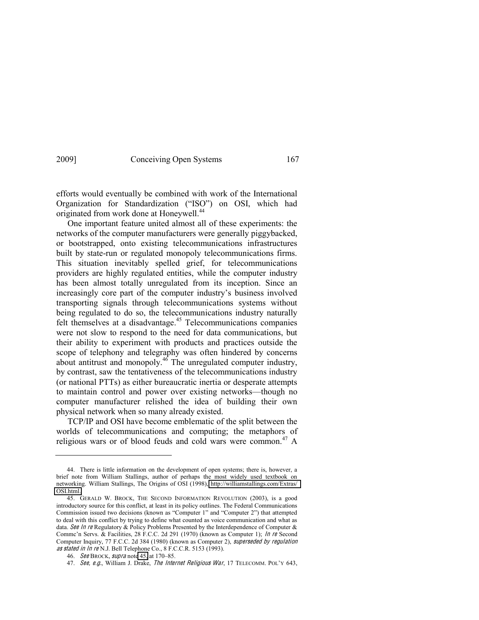efforts would eventually be combined with work of the International Organization for Standardization ("ISO") on OSI, which had originated from work done at Honeywell.<sup>44</sup>

<span id="page-28-0"></span>One important feature united almost all of these experiments: the networks of the computer manufacturers were generally piggybacked, or bootstrapped, onto existing telecommunications infrastructures built by state-run or regulated monopoly telecommunications firms. This situation inevitably spelled grief, for telecommunications providers are highly regulated entities, while the computer industry has been almost totally unregulated from its inception. Since an increasingly core part of the computer industry's business involved transporting signals through telecommunications systems without being regulated to do so, the telecommunications industry naturally felt themselves at a disadvantage.<sup>45</sup> Telecommunications companies were not slow to respond to the need for data communications, but their ability to experiment with products and practices outside the scope of telephony and telegraphy was often hindered by concerns about antitrust and monopoly.<sup>46</sup> The unregulated computer industry, by contrast, saw the tentativeness of the telecommunications industry (or national PTTs) as either bureaucratic inertia or desperate attempts to maintain control and power over existing networks—though no computer manufacturer relished the idea of building their own physical network when so many already existed.

TCP/IP and OSI have become emblematic of the split between the worlds of telecommunications and computing; the metaphors of religious wars or of blood feuds and cold wars were common.<sup>47</sup> A

<sup>44.</sup> There is little information on the development of open systems; there is, however, a brief note from William Stallings, author of perhaps the most widely used textbook on networking. William Stallings, The Origins of OSI (1998), [http://williamstallings.com/Extras/](http://williamstallings.com/Extras/OSI.html)  [OSI.html.](http://williamstallings.com/Extras/OSI.html)

<sup>45.</sup> GERALD W. BROCK, THE SECOND INFORMATION REVOLUTION (2003), is a good introductory source for this conflict, at least in its policy outlines. The Federal Communications Commission issued two decisions (known as "Computer 1" and "Computer 2") that attempted to deal with this conflict by trying to define what counted as voice communication and what as data. See In re Regulatory & Policy Problems Presented by the Interdependence of Computer & Commc'n Servs. & Facilities, 28 F.C.C. 2d 291 (1970) (known as Computer 1); In re Second Computer Inquiry, 77 F.C.C. 2d 384 (1980) (known as Computer 2), <sup>s</sup>uperseded by <sup>r</sup><sup>e</sup>gulation as stated in In re N.J. Bell Telephone Co., 8 F.C.C.R. 5153 (1993).

<sup>46.</sup> See BROCK, supra not[e 45,](#page-28-0) at 170-85.

<sup>47.</sup> See, e.g., William J. Drake, The Internet Religious War, 17 TELECOMM. POL'Y 643,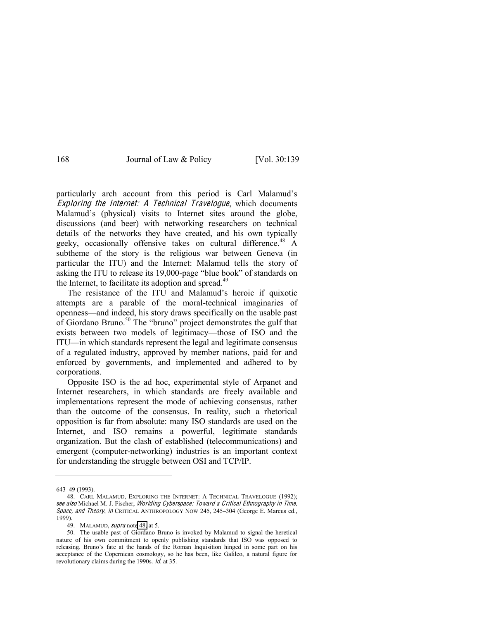<span id="page-29-0"></span>

particularly arch account from this period is Carl Malamud's Exploring <sup>t</sup>h<sup>e</sup> Internet: A Technical Travelogue, which documents Malamud's (physical) visits to Internet sites around the globe, discussions (and beer) with networking researchers on technical details of the networks they have created, and his own typically geeky, occasionally offensive takes on cultural difference.<sup>48</sup> A subtheme of the story is the religious war between Geneva (in particular the ITU) and the Internet: Malamud tells the story of asking the ITU to release its 19,000-page "blue book" of standards on the Internet, to facilitate its adoption and spread.<sup>49</sup>

The resistance of the ITU and Malamud's heroic if quixotic attempts are a parable of the moral-technical imaginaries of openness—and indeed, his story draws specifically on the usable past of Giordano Bruno.<sup>50</sup> The "bruno" project demonstrates the gulf that exists between two models of legitimacy—those of ISO and the ITU—in which standards represent the legal and legitimate consensus of a regulated industry, approved by member nations, paid for and enforced by governments, and implemented and adhered to by corporations.

Opposite ISO is the ad hoc, experimental style of Arpanet and Internet researchers, in which standards are freely available and implementations represent the mode of achieving consensus, rather than the outcome of the consensus. In reality, such a rhetorical opposition is far from absolute: many ISO standards are used on the Internet, and ISO remains a powerful, legitimate standards organization. But the clash of established (telecommunications) and emergent (computer-networking) industries is an important context for understanding the struggle between OSI and TCP/IP.

<sup>643</sup>±49 (1993).

<sup>48.</sup> CARL MALAMUD, EXPLORING THE INTERNET: A TECHNICAL TRAVELOGUE (1992); see also Michael M. J. Fischer, Worlding Cyberspace: Toward a Critical Ethnography in Time, Space, and Theory, in CRITICAL ANTHROPOLOGY NOW 245, 245-304 (George E. Marcus ed., 1999).

<sup>49.</sup> MALAMUD, <sup>s</sup>upra not[e 48,](#page-29-0) at 5.

<sup>50.</sup> The usable past of Giordano Bruno is invoked by Malamud to signal the heretical nature of his own commitment to openly publishing standards that ISO was opposed to releasing. Bruno's fate at the hands of the Roman Inquisition hinged in some part on his acceptance of the Copernican cosmology, so he has been, like Galileo, a natural figure for revolutionary claims during the 1990s. Id. at 35.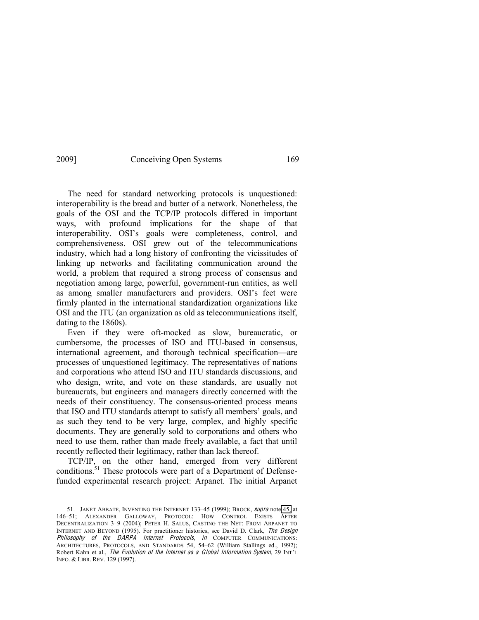The need for standard networking protocols is unquestioned: interoperability is the bread and butter of a network. Nonetheless, the goals of the OSI and the TCP/IP protocols differed in important ways, with profound implications for the shape of that interoperability. OSI's goals were completeness, control, and comprehensiveness. OSI grew out of the telecommunications industry, which had a long history of confronting the vicissitudes of linking up networks and facilitating communication around the world, a problem that required a strong process of consensus and negotiation among large, powerful, government-run entities, as well as among smaller manufacturers and providers. OSI's feet were firmly planted in the international standardization organizations like OSI and the ITU (an organization as old as telecommunications itself, dating to the 1860s).

Even if they were oft-mocked as slow, bureaucratic, or cumbersome, the processes of ISO and ITU-based in consensus, international agreement, and thorough technical specification—are processes of unquestioned legitimacy. The representatives of nations and corporations who attend ISO and ITU standards discussions, and who design, write, and vote on these standards, are usually not bureaucrats, but engineers and managers directly concerned with the needs of their constituency. The consensus-oriented process means that ISO and ITU standards attempt to satisfy all members' goals, and as such they tend to be very large, complex, and highly specific documents. They are generally sold to corporations and others who need to use them, rather than made freely available, a fact that until recently reflected their legitimacy, rather than lack thereof.

<span id="page-30-0"></span>TCP/IP, on the other hand, emerged from very different conditions.<sup>51</sup> These protocols were part of a Department of Defensefunded experimental research project: Arpanet. The initial Arpanet

<sup>51.</sup> JANET ABBATE, INVENTING THE INTERNET 133-45 (1999); BROCK, *supra* note [45,](#page-28-0) at 146-51; ALEXANDER GALLOWAY, PROTOCOL: HOW CONTROL EXISTS AFTER DECENTRALIZATION 3-9 (2004); PETER H. SALUS, CASTING THE NET: FROM ARPANET TO INTERNET AND BEYOND (1995). For practitioner histories, see David D. Clark, Th<sup>e</sup> De<sup>s</sup>ign Philosophy of the DARPA Internet Protocols, in COMPUTER COMMUNICATIONS: ARCHITECTURES, PROTOCOLS, AND STANDARDS 54, 54±62 (William Stallings ed., 1992); Robert Kahn et al., The Evolution of the Internet as a Global Information System, 29  $\text{INT}^L$ INFO. & LIBR. REV. 129 (1997).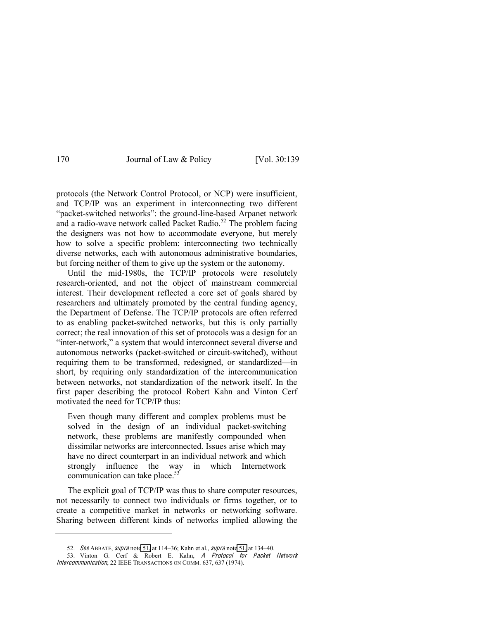protocols (the Network Control Protocol, or NCP) were insufficient, and TCP/IP was an experiment in interconnecting two different "packet-switched networks": the ground-line-based Arpanet network and a radio-wave network called Packet Radio.<sup>52</sup> The problem facing the designers was not how to accommodate everyone, but merely how to solve a specific problem: interconnecting two technically diverse networks, each with autonomous administrative boundaries, but forcing neither of them to give up the system or the autonomy.

Until the mid-1980s, the TCP/IP protocols were resolutely research-oriented, and not the object of mainstream commercial interest. Their development reflected a core set of goals shared by researchers and ultimately promoted by the central funding agency, the Department of Defense. The TCP/IP protocols are often referred to as enabling packet-switched networks, but this is only partially correct; the real innovation of this set of protocols was a design for an "inter-network," a system that would interconnect several diverse and autonomous networks (packet-switched or circuit-switched), without requiring them to be transformed, redesigned, or standardized—in short, by requiring only standardization of the intercommunication between networks, not standardization of the network itself. In the first paper describing the protocol Robert Kahn and Vinton Cerf motivated the need for TCP/IP thus:

Even though many different and complex problems must be solved in the design of an individual packet-switching network, these problems are manifestly compounded when dissimilar networks are interconnected. Issues arise which may have no direct counterpart in an individual network and which strongly influence the way in which Internetwork communication can take place.<sup>53</sup>

The explicit goal of TCP/IP was thus to share computer resources, not necessarily to connect two individuals or firms together, or to create a competitive market in networks or networking software. Sharing between different kinds of networks implied allowing the

<sup>52.</sup> See ABBATE, supra not[e 51,](#page-30-0) at  $114-36$ ; Kahn et al., supra note 51, at 134-40.

<sup>53.</sup> Vinton G. Cerf & Robert E. Kahn, A Protocol for Packe<sup>t</sup> Network Intercommunication, 22 IEEE TRANSACTIONS ON COMM. 637, 637 (1974).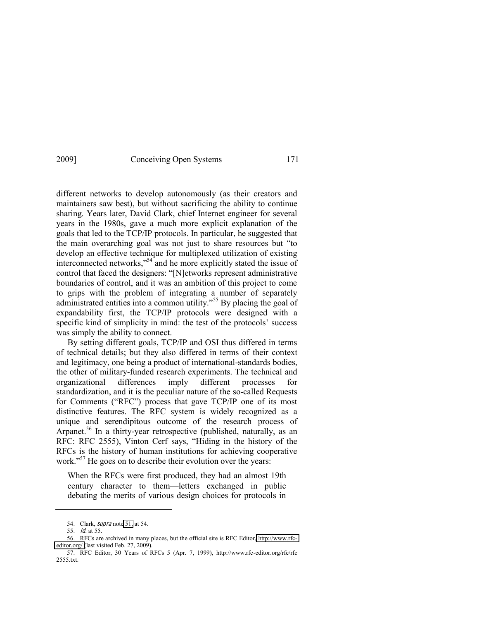different networks to develop autonomously (as their creators and maintainers saw best), but without sacrificing the ability to continue sharing. Years later, David Clark, chief Internet engineer for several years in the 1980s, gave a much more explicit explanation of the goals that led to the TCP/IP protocols. In particular, he suggested that the main overarching goal was not just to share resources but "to develop an effective technique for multiplexed utilization of existing interconnected networks,"<sup>54</sup> and he more explicitly stated the issue of control that faced the designers: "[N]etworks represent administrative boundaries of control, and it was an ambition of this project to come to grips with the problem of integrating a number of separately  $\frac{1}{2}$  depends on the processes of all processes  $\frac{1}{2}$  administrated entities into a common utility.<sup>555</sup> By placing the goal of expandability first, the TCP/IP protocols were designed with a specific kind of simplicity in mind: the test of the protocols' success was simply the ability to connect.

By setting different goals, TCP/IP and OSI thus differed in terms of technical details; but they also differed in terms of their context and legitimacy, one being a product of international-standards bodies, the other of military-funded research experiments. The technical and organizational differences imply different processes for standardization, and it is the peculiar nature of the so-called Requests for Comments ("RFC") process that gave TCP/IP one of its most distinctive features. The RFC system is widely recognized as a unique and serendipitous outcome of the research process of Arpanet.<sup>56</sup> In a thirty-year retrospective (published, naturally, as an RFC: RFC 2555), Vinton Cerf says, "Hiding in the history of the RFCs is the history of human institutions for achieving cooperative work."<sup>57</sup> He goes on to describe their evolution over the years:

When the RFCs were first produced, they had an almost 19th century character to them—letters exchanged in public debating the merits of various design choices for protocols in

<sup>54.</sup> Clark, *supra* not[e 51,](#page-30-0) at 54.

<sup>55.</sup> Id. at 55.

<sup>56.</sup> RFCs are archived in many places, but the official site is RFC Editor, [http://www.rfc](http://www.rfc-editor.org/)[editor.org/](http://www.rfc-editor.org/) (last visited Feb. 27, 2009).

<sup>57.</sup> RFC Editor, 30 Years of RFCs 5 (Apr. 7, 1999), http://www.rfc-editor.org/rfc/rfc 2555.txt.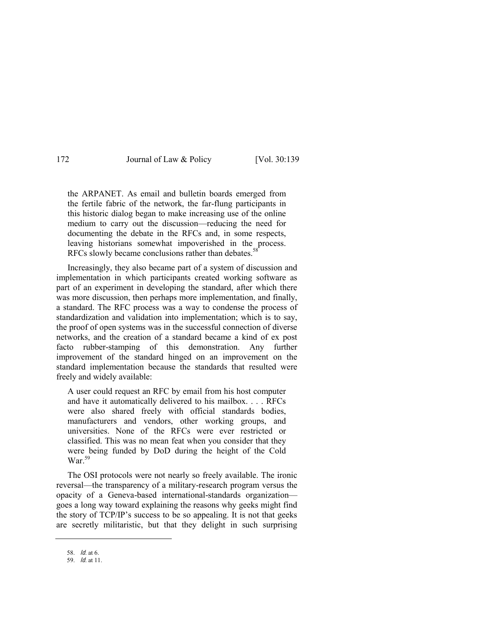the ARPANET. As email and bulletin boards emerged from the fertile fabric of the network, the far-flung participants in this historic dialog began to make increasing use of the online medium to carry out the discussion-reducing the need for documenting the debate in the RFCs and, in some respects, leaving historians somewhat impoverished in the process. RFCs slowly became conclusions rather than debates.<sup>58</sup>

Increasingly, they also became part of a system of discussion and implementation in which participants created working software as part of an experiment in developing the standard, after which there was more discussion, then perhaps more implementation, and finally, a standard. The RFC process was a way to condense the process of standardization and validation into implementation; which is to say, the proof of open systems was in the successful connection of diverse networks, and the creation of a standard became a kind of ex post facto rubber-stamping of this demonstration. Any further improvement of the standard hinged on an improvement on the standard implementation because the standards that resulted were freely and widely available:

A user could request an RFC by email from his host computer and have it automatically delivered to his mailbox. . . . RFCs were also shared freely with official standards bodies, manufacturers and vendors, other working groups, and universities. None of the RFCs were ever restricted or classified. This was no mean feat when you consider that they were being funded by DoD during the height of the Cold War.<sup>59</sup>

The OSI protocols were not nearly so freely available. The ironic reversal—the transparency of a military-research program versus the opacity of a Geneva-based international-standards organizationgoes a long way toward explaining the reasons why geeks might find the story of TCP/IP's success to be so appealing. It is not that geeks are secretly militaristic, but that they delight in such surprising

<sup>58.</sup> Id. at 6.

<sup>59.</sup> Id. at 11.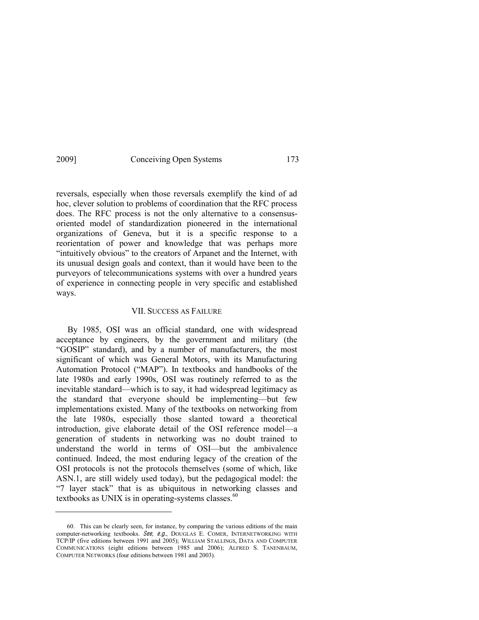reversals, especially when those reversals exemplify the kind of ad hoc, clever solution to problems of coordination that the RFC process does. The RFC process is not the only alternative to a consensusoriented model of standardization pioneered in the international organizations of Geneva, but it is a specific response to a reorientation of power and knowledge that was perhaps more "intuitively obvious" to the creators of Arpanet and the Internet, with its unusual design goals and context, than it would have been to the purveyors of telecommunications systems with over a hundred years of experience in connecting people in very specific and established ways.

## VII. SUCCESS AS FAILURE

By 1985, OSI was an official standard, one with widespread acceptance by engineers, by the government and military (the "GOSIP" standard), and by a number of manufacturers, the most significant of which was General Motors, with its Manufacturing Automation Protocol ("MAP"). In textbooks and handbooks of the late 1980s and early 1990s, OSI was routinely referred to as the inevitable standard—which is to say, it had widespread legitimacy as the standard that everyone should be implementing—but few implementations existed. Many of the textbooks on networking from the late 1980s, especially those slanted toward a theoretical introduction, give elaborate detail of the OSI reference model—a generation of students in networking was no doubt trained to understand the world in terms of OSI—but the ambivalence continued. Indeed, the most enduring legacy of the creation of the OSI protocols is not the protocols themselves (some of which, like ASN.1, are still widely used today), but the pedagogical model: the "7 layer stack" that is as ubiquitous in networking classes and textbooks as UNIX is in operating-systems classes. $60$ 

<span id="page-34-0"></span><sup>60.</sup> This can be clearly seen, for instance, by comparing the various editions of the main computer-networking textbooks. See, e.g., DOUGLAS E. COMER, INTERNETWORKING WITH TCP/IP (five editions between 1991 and 2005); WILLIAM STALLINGS, DATA AND COMPUTER COMMUNICATIONS (eight editions between 1985 and 2006); ALFRED S. TANENBAUM, COMPUTER NETWORKS (four editions between 1981 and 2003).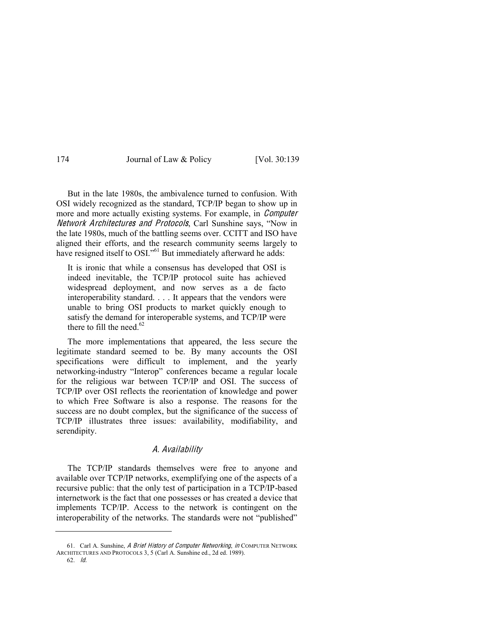But in the late 1980s, the ambivalence turned to confusion. With OSI widely recognized as the standard, TCP/IP began to show up in more and more actually existing systems. For example, in *Computer* Network Architectures and Protocols, Carl Sunshine says, "Now in the late 1980s, much of the battling seems over. CCITT and ISO have aligned their efforts, and the research community seems largely to have resigned itself to OSI."<sup>61</sup> But immediately afterward he adds:

It is ironic that while a consensus has developed that OSI is indeed inevitable, the TCP/IP protocol suite has achieved widespread deployment, and now serves as a de facto interoperability standard. . . . It appears that the vendors were unable to bring OSI products to market quickly enough to satisfy the demand for interoperable systems, and TCP/IP were there to fill the need.<sup>62</sup>

The more implementations that appeared, the less secure the legitimate standard seemed to be. By many accounts the OSI specifications were difficult to implement, and the yearly networking-industry "Interop" conferences became a regular locale for the religious war between TCP/IP and OSI. The success of TCP/IP over OSI reflects the reorientation of knowledge and power to which Free Software is also a response. The reasons for the success are no doubt complex, but the significance of the success of TCP/IP illustrates three issues: availability, modifiability, and serendipity.

# A. Availability

The TCP/IP standards themselves were free to anyone and available over TCP/IP networks, exemplifying one of the aspects of a recursive public: that the only test of participation in a TCP/IP-based internetwork is the fact that one possesses or has created a device that implements TCP/IP. Access to the network is contingent on the interoperability of the networks. The standards were not "published"

<sup>61.</sup> Carl A. Sunshine, A Brief History of Computer Networking, in COMPUTER NETWORK ARCHITECTURES AND PROTOCOLS 3, 5 (Carl A. Sunshine ed., 2d ed. 1989).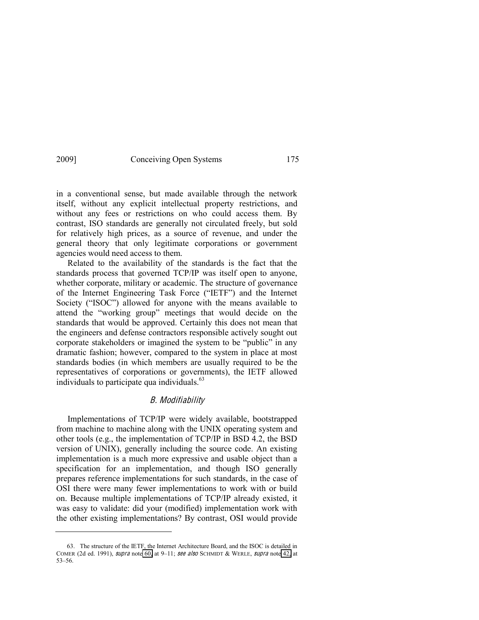in a conventional sense, but made available through the network itself, without any explicit intellectual property restrictions, and without any fees or restrictions on who could access them. By contrast, ISO standards are generally not circulated freely, but sold for relatively high prices, as a source of revenue, and under the general theory that only legitimate corporations or government agencies would need access to them.

Related to the availability of the standards is the fact that the standards process that governed TCP/IP was itself open to anyone, whether corporate, military or academic. The structure of governance of the Internet Engineering Task Force ("IETF") and the Internet Society ("ISOC") allowed for anyone with the means available to attend the "working group" meetings that would decide on the standards that would be approved. Certainly this does not mean that the engineers and defense contractors responsible actively sought out corporate stakeholders or imagined the system to be "public" in any dramatic fashion; however, compared to the system in place at most standards bodies (in which members are usually required to be the representatives of corporations or governments), the IETF allowed individuals to participate qua individuals. $63$ 

# B. Modifiability

Implementations of TCP/IP were widely available, bootstrapped from machine to machine along with the UNIX operating system and other tools (e.g., the implementation of TCP/IP in BSD 4.2, the BSD version of UNIX), generally including the source code. An existing implementation is a much more expressive and usable object than a specification for an implementation, and though ISO generally prepares reference implementations for such standards, in the case of OSI there were many fewer implementations to work with or build on. Because multiple implementations of TCP/IP already existed, it was easy to validate: did your (modified) implementation work with the other existing implementations? By contrast, OSI would provide

<sup>63.</sup> The structure of the IETF, the Internet Architecture Board, and the ISOC is detailed in COMER (2d ed. 1991), supra not[e 60,](#page-34-0) at  $9-11$ ; see also SCHMIDT & WERLE, supra note [42,](#page-27-0) at 53±56.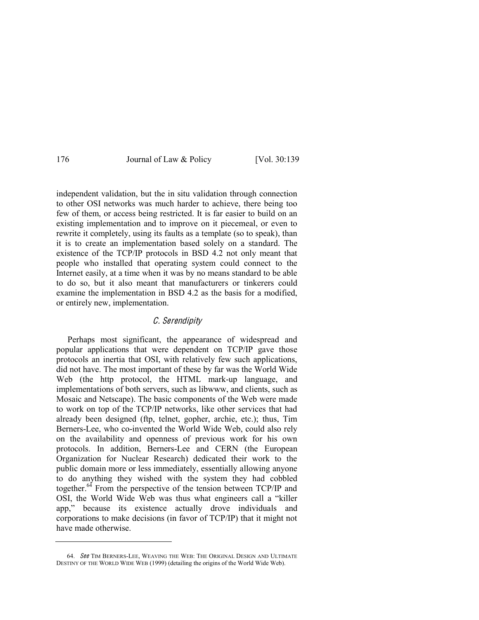independent validation, but the in situ validation through connection to other OSI networks was much harder to achieve, there being too few of them, or access being restricted. It is far easier to build on an existing implementation and to improve on it piecemeal, or even to rewrite it completely, using its faults as a template (so to speak), than it is to create an implementation based solely on a standard. The existence of the TCP/IP protocols in BSD 4.2 not only meant that people who installed that operating system could connect to the Internet easily, at a time when it was by no means standard to be able to do so, but it also meant that manufacturers or tinkerers could examine the implementation in BSD 4.2 as the basis for a modified, or entirely new, implementation.

# C. Ser<sup>e</sup>ndipity

Perhaps most significant, the appearance of widespread and popular applications that were dependent on TCP/IP gave those protocols an inertia that OSI, with relatively few such applications, did not have. The most important of these by far was the World Wide Web (the http protocol, the HTML mark-up language, and implementations of both servers, such as libwww, and clients, such as Mosaic and Netscape). The basic components of the Web were made to work on top of the TCP/IP networks, like other services that had already been designed (ftp, telnet, gopher, archie, etc.); thus, Tim Berners-Lee, who co-invented the World Wide Web, could also rely on the availability and openness of previous work for his own protocols. In addition, Berners-Lee and CERN (the European Organization for Nuclear Research) dedicated their work to the public domain more or less immediately, essentially allowing anyone to do anything they wished with the system they had cobbled together.<sup>64</sup> From the perspective of the tension between TCP/IP and OSI, the World Wide Web was thus what engineers call a "killer app," because its existence actually drove individuals and corporations to make decisions (in favor of TCP/IP) that it might not have made otherwise.

<sup>64.</sup> See TIM BERNERS-LEE, WEAVING THE WEB: THE ORIGINAL DESIGN AND ULTIMATE DESTINY OF THE WORLD WIDE WEB (1999) (detailing the origins of the World Wide Web).